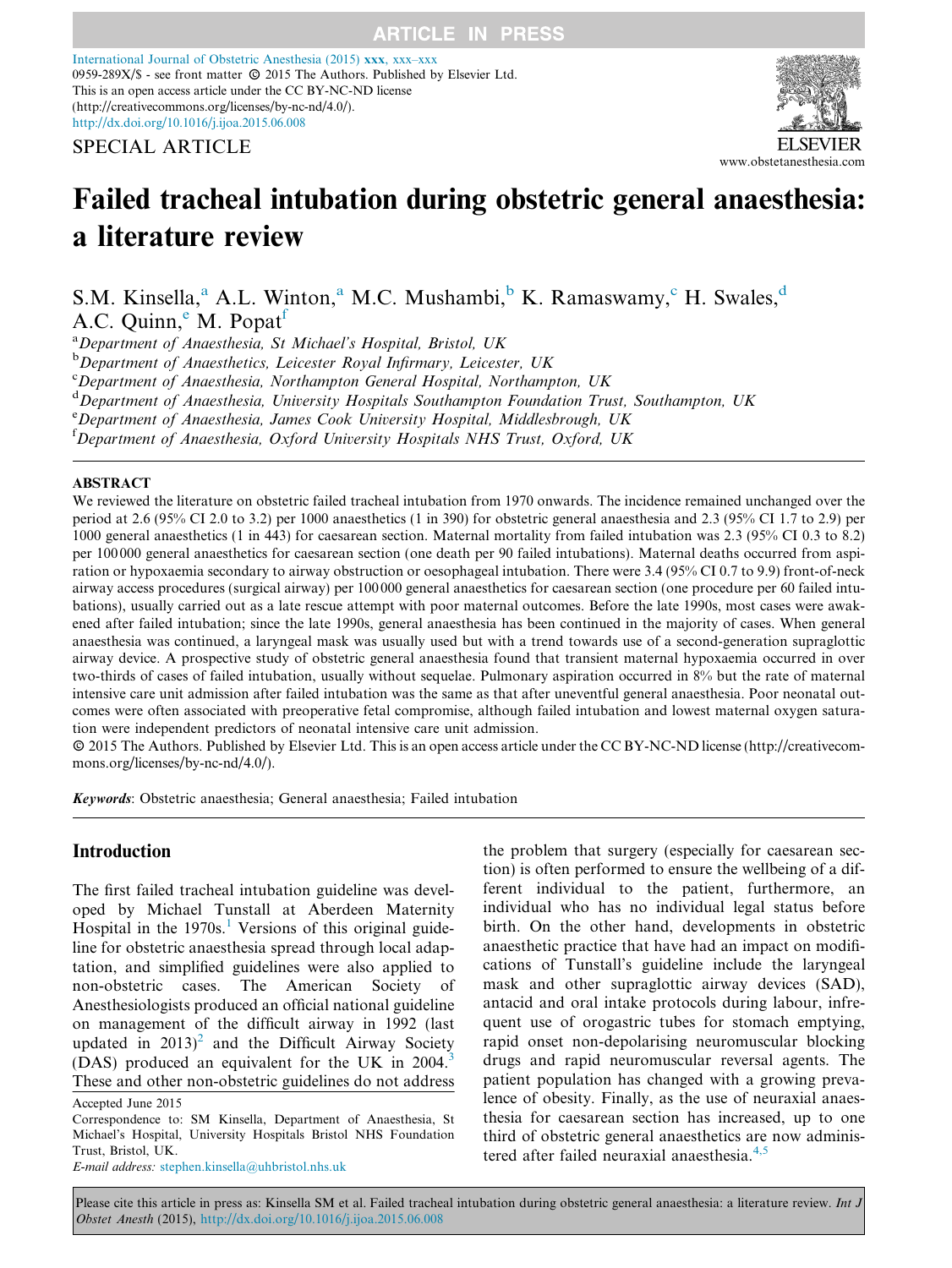[International Journal of Obstetric Anesthesia \(2015\)](http://dx.doi.org/10.1016/j.ijoa.2015.06.008) xxx, xxx–xxx methodal souther of Osseem Allesliese (2015) axa, and and  $\frac{1}{201}$ <br>(1959-289X/\$ - see front matter  $\odot$  2015 The Authors. Published by Elsevier Ltd. This is an open access article under the CC BY-NC-ND license (http://creativecommons.org/licenses/by-nc-nd/4.0/). <http://dx.doi.org/10.1016/j.ijoa.2015.06.008>

SPECIAL ARTICLE



# Failed tracheal intubation during obstetric general anaesthesia: a literature review

S.M. Kinsella,<sup>a</sup> A.L. Winton,<sup>a</sup> M.C. Mushambi,<sup>b</sup> K. Ramaswamy,<sup>c</sup> H. Swales,<sup>d</sup> A.C. Quinn,<sup>e</sup> M. Popat<sup>f</sup>

<sup>a</sup>Department of Anaesthesia, St Michael's Hospital, Bristol, UK

<sup>b</sup>Department of Anaesthetics, Leicester Royal Infirmary, Leicester, UK

c Department of Anaesthesia, Northampton General Hospital, Northampton, UK

<sup>d</sup> Department of Anaesthesia, University Hospitals Southampton Foundation Trust, Southampton, UK

e Department of Anaesthesia, James Cook University Hospital, Middlesbrough, UK

<sup>f</sup>Department of Anaesthesia, Oxford University Hospitals NHS Trust, Oxford, UK

#### ABSTRACT

We reviewed the literature on obstetric failed tracheal intubation from 1970 onwards. The incidence remained unchanged over the period at 2.6 (95% CI 2.0 to 3.2) per 1000 anaesthetics (1 in 390) for obstetric general anaesthesia and 2.3 (95% CI 1.7 to 2.9) per 1000 general anaesthetics (1 in 443) for caesarean section. Maternal mortality from failed intubation was 2.3 (95% CI 0.3 to 8.2) per 100 000 general anaesthetics for caesarean section (one death per 90 failed intubations). Maternal deaths occurred from aspiration or hypoxaemia secondary to airway obstruction or oesophageal intubation. There were 3.4 (95% CI 0.7 to 9.9) front-of-neck airway access procedures (surgical airway) per 100 000 general anaesthetics for caesarean section (one procedure per 60 failed intubations), usually carried out as a late rescue attempt with poor maternal outcomes. Before the late 1990s, most cases were awakened after failed intubation; since the late 1990s, general anaesthesia has been continued in the majority of cases. When general anaesthesia was continued, a laryngeal mask was usually used but with a trend towards use of a second-generation supraglottic airway device. A prospective study of obstetric general anaesthesia found that transient maternal hypoxaemia occurred in over two-thirds of cases of failed intubation, usually without sequelae. Pulmonary aspiration occurred in 8% but the rate of maternal intensive care unit admission after failed intubation was the same as that after uneventful general anaesthesia. Poor neonatal outcomes were often associated with preoperative fetal compromise, although failed intubation and lowest maternal oxygen saturation were independent predictors of neonatal intensive care unit admission.

-c 2015 The Authors. Published by Elsevier Ltd. This is an open access article under the CC BY-NC-ND license (http://creativecommons.org/licenses/by-nc-nd/4.0/).

Keywords: Obstetric anaesthesia; General anaesthesia; Failed intubation

# Introduction

The first failed tracheal intubation guideline was developed by Michael Tunstall at Aberdeen Maternity Hospital in the  $1970s$  $1970s$ .<sup>1</sup> Versions of this original guideline for obstetric anaesthesia spread through local adaptation, and simplified guidelines were also applied to non-obstetric cases. The American Society of Anesthesiologists produced an official national guideline on management of the difficult airway in 1992 (last updated in  $2013$  $2013$ <sup>2</sup> and the Difficult Airway Society (DAS) produced an equivalent for the UK in 2004.<sup>[3](#page-15-0)</sup> These and other non-obstetric guidelines do not address tion) is often performed to ensure the wellbeing of a different individual to the patient, furthermore, an individual who has no individual legal status before birth. On the other hand, developments in obstetric anaesthetic practice that have had an impact on modifications of Tunstall's guideline include the laryngeal mask and other supraglottic airway devices (SAD), antacid and oral intake protocols during labour, infrequent use of orogastric tubes for stomach emptying, rapid onset non-depolarising neuromuscular blocking drugs and rapid neuromuscular reversal agents. The patient population has changed with a growing prevalence of obesity. Finally, as the use of neuraxial anaesthesia for caesarean section has increased, up to one third of obstetric general anaesthetics are now adminis-tered after failed neuraxial anaesthesia.<sup>[4,5](#page-15-0)</sup>

the problem that surgery (especially for caesarean sec-

E-mail address: [stephen.kinsella@uhbristol.nhs.uk](mailto:stephen.kinsella@uhbristol.nhs.uk)

Accepted June 2015

Correspondence to: SM Kinsella, Department of Anaesthesia, St Michael's Hospital, University Hospitals Bristol NHS Foundation Trust, Bristol, UK.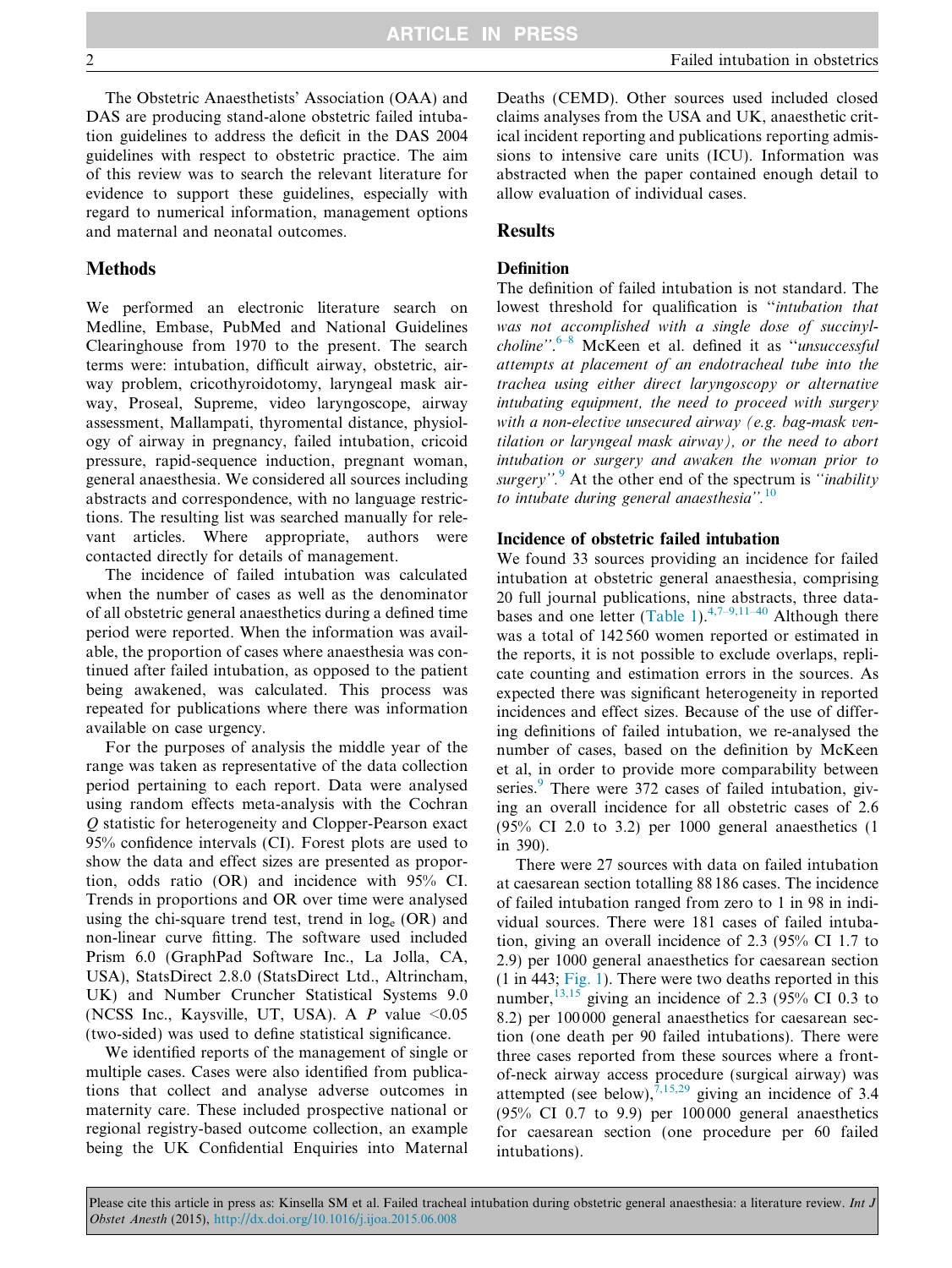The Obstetric Anaesthetists' Association (OAA) and DAS are producing stand-alone obstetric failed intubation guidelines to address the deficit in the DAS 2004 guidelines with respect to obstetric practice. The aim of this review was to search the relevant literature for evidence to support these guidelines, especially with regard to numerical information, management options and maternal and neonatal outcomes.

### Methods

We performed an electronic literature search on Medline, Embase, PubMed and National Guidelines Clearinghouse from 1970 to the present. The search terms were: intubation, difficult airway, obstetric, airway problem, cricothyroidotomy, laryngeal mask airway, Proseal, Supreme, video laryngoscope, airway assessment, Mallampati, thyromental distance, physiology of airway in pregnancy, failed intubation, cricoid pressure, rapid-sequence induction, pregnant woman, general anaesthesia. We considered all sources including abstracts and correspondence, with no language restrictions. The resulting list was searched manually for relevant articles. Where appropriate, authors were contacted directly for details of management.

The incidence of failed intubation was calculated when the number of cases as well as the denominator of all obstetric general anaesthetics during a defined time period were reported. When the information was available, the proportion of cases where anaesthesia was continued after failed intubation, as opposed to the patient being awakened, was calculated. This process was repeated for publications where there was information available on case urgency.

For the purposes of analysis the middle year of the range was taken as representative of the data collection period pertaining to each report. Data were analysed using random effects meta-analysis with the Cochran Q statistic for heterogeneity and Clopper-Pearson exact 95% confidence intervals (CI). Forest plots are used to show the data and effect sizes are presented as proportion, odds ratio (OR) and incidence with 95% CI. Trends in proportions and OR over time were analysed using the chi-square trend test, trend in  $log_e (OR)$  and non-linear curve fitting. The software used included Prism 6.0 (GraphPad Software Inc., La Jolla, CA, USA), StatsDirect 2.8.0 (StatsDirect Ltd., Altrincham, UK) and Number Cruncher Statistical Systems 9.0 (NCSS Inc., Kaysville, UT, USA). A  $P$  value <0.05 (two-sided) was used to define statistical significance.

We identified reports of the management of single or multiple cases. Cases were also identified from publications that collect and analyse adverse outcomes in maternity care. These included prospective national or regional registry-based outcome collection, an example being the UK Confidential Enquiries into Maternal

Deaths (CEMD). Other sources used included closed claims analyses from the USA and UK, anaesthetic critical incident reporting and publications reporting admissions to intensive care units (ICU). Information was abstracted when the paper contained enough detail to allow evaluation of individual cases.

#### **Results**

#### Definition

The definition of failed intubation is not standard. The lowest threshold for qualification is ''intubation that was not accomplished with a single dose of succinylcholine".<sup>6-8</sup> McKeen et al. defined it as "unsuccessful attempts at placement of an endotracheal tube into the trachea using either direct laryngoscopy or alternative intubating equipment, the need to proceed with surgery with a non-elective unsecured airway (e.g. bag-mask ventilation or laryngeal mask airway), or the need to abort intubation or surgery and awaken the woman prior to surgery". $\frac{9}{5}$  $\frac{9}{5}$  $\frac{9}{5}$  At the other end of the spectrum is "*inability* to intubate during general anaesthesia". $^{10}$  $^{10}$  $^{10}$ 

#### Incidence of obstetric failed intubation

We found 33 sources providing an incidence for failed intubation at obstetric general anaesthesia, comprising 20 full journal publications, nine abstracts, three data-bases and one letter [\(Table 1\)](#page-2-0).<sup>[4,7–9,11–40](#page-15-0)</sup> Although there was a total of 142 560 women reported or estimated in the reports, it is not possible to exclude overlaps, replicate counting and estimation errors in the sources. As expected there was significant heterogeneity in reported incidences and effect sizes. Because of the use of differing definitions of failed intubation, we re-analysed the number of cases, based on the definition by McKeen et al, in order to provide more comparability between series.<sup>[9](#page-15-0)</sup> There were 372 cases of failed intubation, giving an overall incidence for all obstetric cases of 2.6 (95% CI 2.0 to 3.2) per 1000 general anaesthetics (1 in 390).

There were 27 sources with data on failed intubation at caesarean section totalling 88 186 cases. The incidence of failed intubation ranged from zero to 1 in 98 in individual sources. There were 181 cases of failed intubation, giving an overall incidence of 2.3 (95% CI 1.7 to 2.9) per 1000 general anaesthetics for caesarean section (1 in 443; [Fig. 1\)](#page-4-0). There were two deaths reported in this number, $^{13,15}$  $^{13,15}$  $^{13,15}$  giving an incidence of 2.3 (95% CI 0.3 to 8.2) per 100 000 general anaesthetics for caesarean section (one death per 90 failed intubations). There were three cases reported from these sources where a frontof-neck airway access procedure (surgical airway) was attempted (see below),  $\frac{7,15,29}{ }$  $\frac{7,15,29}{ }$  $\frac{7,15,29}{ }$  giving an incidence of 3.4 (95% CI 0.7 to 9.9) per 100 000 general anaesthetics for caesarean section (one procedure per 60 failed intubations).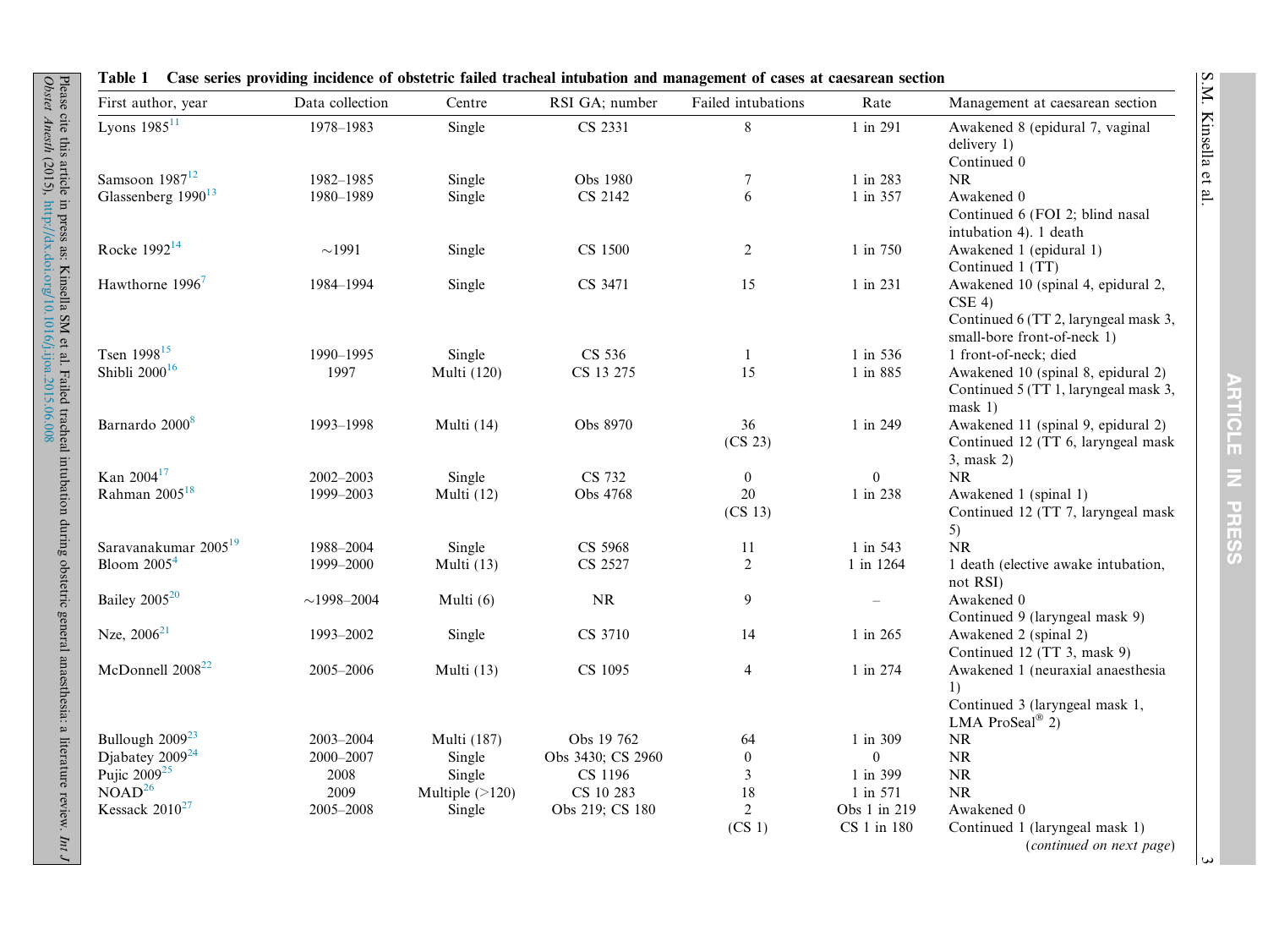| First author, year               | Data collection  | Centre             | RSI GA; number    | Failed intubations       | Rate           | Management at caesarean section                                                                                       |
|----------------------------------|------------------|--------------------|-------------------|--------------------------|----------------|-----------------------------------------------------------------------------------------------------------------------|
| Lyons $1985^{11}$                | 1978-1983        | Single             | CS 2331           | $8\,$                    | 1 in 291       | Awakened 8 (epidural 7, vaginal<br>delivery 1)<br>Continued 0                                                         |
| Samsoon $1987^{12}$              | 1982-1985        | Single             | Obs 1980          |                          | 1 in 283       | NR                                                                                                                    |
| Glassenberg 1990 <sup>13</sup>   | 1980-1989        | Single             | CS 2142           | 7<br>6                   | 1 in 357       | Awakened 0                                                                                                            |
|                                  |                  |                    |                   |                          |                | Continued 6 (FOI 2; blind nasal<br>intubation 4). 1 death                                                             |
| Rocke 1992 <sup>14</sup>         | $\sim$ 1991      | Single             | CS 1500           | $\overline{c}$           | 1 in 750       | Awakened 1 (epidural 1)<br>Continued 1 (TT)                                                                           |
| Hawthorne 1996 <sup>7</sup>      | 1984-1994        | Single             | CS 3471           | 15                       | 1 in 231       | Awakened 10 (spinal 4, epidural 2,<br>$CSE$ 4)<br>Continued 6 (TT 2, laryngeal mask 3,<br>small-bore front-of-neck 1) |
| Tsen 1998 <sup>15</sup>          | 1990-1995        | Single             | CS 536            | 1                        | 1 in 536       | 1 front-of-neck; died                                                                                                 |
| Shibli $2000^{16}$               | 1997             | <b>Multi</b> (120) | CS 13 275         | 15                       | 1 in 885       | Awakened 10 (spinal 8, epidural 2)<br>Continued 5 (TT 1, laryngeal mask 3,<br>mask 1)                                 |
| Barnardo 2000 <sup>8</sup>       | 1993-1998        | Multi (14)         | Obs 8970          | 36<br>(CS 23)            | 1 in 249       | Awakened 11 (spinal 9, epidural 2)<br>Continued 12 (TT 6, laryngeal mask<br>3, mask 2)                                |
| Kan 2004 <sup>17</sup>           | 2002-2003        | Single             | CS 732            | $\mathbf{0}$             | $\mathbf{0}$   | <b>NR</b>                                                                                                             |
| Rahman $2005^{18}$               | 1999-2003        | Multi (12)         | Obs 4768          | 20                       | 1 in 238       | Awakened 1 (spinal 1)                                                                                                 |
|                                  |                  |                    |                   | (CS <sub>13</sub> )      |                | Continued 12 (TT 7, laryngeal mask<br>5)                                                                              |
| Saravanakumar 2005 <sup>19</sup> | 1988-2004        | Single             | CS 5968           | 11                       | 1 in 543       | NR                                                                                                                    |
| Bloom $20054$                    | 1999-2000        | Multi (13)         | CS 2527           | $\overline{2}$           | 1 in 1264      | 1 death (elective awake intubation,<br>not RSI)                                                                       |
| Bailey 2005 <sup>20</sup>        | $\sim$ 1998-2004 | Multi (6)          | $\rm NR$          | 9                        |                | Awakened 0<br>Continued 9 (laryngeal mask 9)                                                                          |
| Nze, $2006^{21}$                 | 1993-2002        | Single             | CS 3710           | 14                       | 1 in 265       | Awakened 2 (spinal 2)<br>Continued 12 (TT 3, mask 9)                                                                  |
| McDonnell 2008 <sup>22</sup>     | 2005-2006        | Multi (13)         | CS 1095           | $\overline{\mathcal{A}}$ | 1 in 274       | Awakened 1 (neuraxial anaesthesia<br>1)<br>Continued 3 (laryngeal mask 1,<br>LMA ProSeal® 2)                          |
| Bullough 2009 <sup>23</sup>      | 2003-2004        | <b>Multi</b> (187) | Obs 19 762        | 64                       | 1 in 309       | NR                                                                                                                    |
| Djabatey $2009^{24}$             | 2000-2007        | Single             | Obs 3430; CS 2960 | $\mathbf{0}$             | $\overline{0}$ | NR                                                                                                                    |
| Pujic $2009^{25}$                | 2008             | Single             | CS 1196           | $\mathfrak{Z}$           | 1 in 399       | $\rm NR$                                                                                                              |
| $NOAD^{26}$                      | 2009             | Multiple $(>120)$  | CS 10 283         | 18                       | 1 in 571       | NR                                                                                                                    |
| Kessack $2010^{27}$              | 2005-2008        | Single             | Obs 219; CS 180   | $\overline{2}$           | Obs 1 in 219   | Awakened 0                                                                                                            |
|                                  |                  |                    |                   | (CS <sub>1</sub> )       | CS 1 in 180    | Continued 1 (laryngeal mask 1)<br>(continued on next page)                                                            |

Table 1 Case series providing incidence of obstetric failed tracheal intubation and management of cases at caesarean section

Please cite this article in press as: Kinsella SM et al. Failed tracheal intubation during obstetric general anaesthesia: a literature review.

<span id="page-2-0"></span>Obstet Anesth

(2015),

<http://dx.doi.org/10.1016/j.ijoa.2015.06.008>

Int J

 $\omega$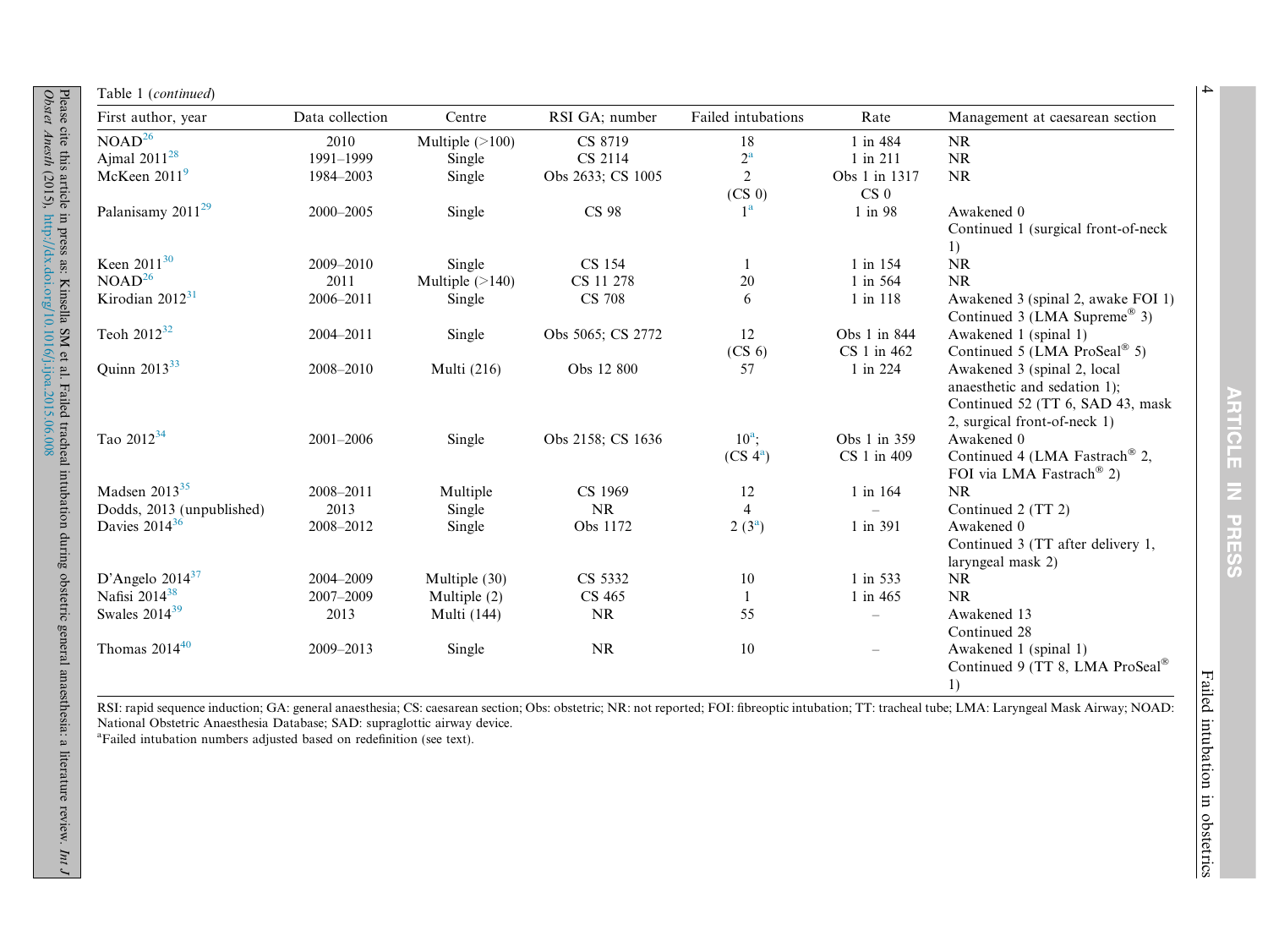| First author, year            | Data collection | Centre            | RSI GA; number    | Failed intubations                   | Rate                             | Management at caesarean section                                                                                                 |
|-------------------------------|-----------------|-------------------|-------------------|--------------------------------------|----------------------------------|---------------------------------------------------------------------------------------------------------------------------------|
| NOAD <sup>26</sup>            | 2010            | Multiple $(>100)$ | CS 8719           | 18                                   | 1 in 484                         | $\mathbf{NR}$                                                                                                                   |
| Ajmal $2011^{28}$             | 1991-1999       | Single            | CS 2114           | $2^{\rm a}$                          | 1 in 211                         | NR                                                                                                                              |
| McKeen $20119$                | 1984-2003       | Single            | Obs 2633; CS 1005 | $\overline{2}$<br>(CS <sub>0</sub> ) | Obs 1 in 1317<br>CS <sub>0</sub> | NR                                                                                                                              |
| Palanisamy 2011 <sup>29</sup> | 2000-2005       | Single            | <b>CS 98</b>      | 1 <sup>a</sup>                       | 1 in 98                          | Awakened 0<br>Continued 1 (surgical front-of-neck<br>1)                                                                         |
| Keen 2011 <sup>30</sup>       | 2009-2010       | Single            | CS 154            | 1                                    | 1 in 154                         | NR                                                                                                                              |
| NOAD <sup>26</sup>            | 2011            | Multiple $(>140)$ | CS 11 278         | 20                                   | 1 in 564                         | NR                                                                                                                              |
| Kirodian $2012^{31}$          | 2006-2011       | Single            | <b>CS 708</b>     | 6                                    | 1 in 118                         | Awakened 3 (spinal 2, awake FOI 1)<br>Continued 3 (LMA Supreme® 3)                                                              |
| Teoh $2012^{32}$              | 2004-2011       | Single            | Obs 5065; CS 2772 | 12                                   | Obs 1 in 844                     | Awakened 1 (spinal 1)                                                                                                           |
|                               |                 |                   |                   | (CS <sub>6</sub> )                   | CS 1 in 462                      | Continued 5 (LMA ProSeal® 5)                                                                                                    |
| Quinn 2013 <sup>33</sup>      | 2008-2010       | Multi (216)       | Obs 12 800        | 57                                   | 1 in 224                         | Awakened 3 (spinal 2, local<br>anaesthetic and sedation 1);<br>Continued 52 (TT 6, SAD 43, mask<br>2, surgical front-of-neck 1) |
| Tao 2012 <sup>34</sup>        | 2001-2006       | Single            | Obs 2158; CS 1636 | $10^a$ ;                             | Obs 1 in 359                     | Awakened 0                                                                                                                      |
|                               |                 |                   |                   | (CS <sup>4</sup> )                   | CS 1 in 409                      | Continued 4 (LMA Fastrach <sup>®</sup> 2,<br>FOI via LMA Fastrach <sup>®</sup> 2)                                               |
| Madsen $2013^{35}$            | 2008-2011       | Multiple          | CS 1969           | 12                                   | 1 in 164                         | <b>NR</b>                                                                                                                       |
| Dodds, 2013 (unpublished)     | 2013            | Single            | NR                | $\overline{4}$                       |                                  | Continued 2 (TT 2)                                                                                                              |
| Davies 2014 <sup>36</sup>     | 2008-2012       | Single            | Obs 1172          | $2(3^a)$                             | 1 in 391                         | Awakened 0<br>Continued 3 (TT after delivery 1,<br>laryngeal mask 2)                                                            |
| D'Angelo 2014 $37$            | 2004-2009       | Multiple (30)     | CS 5332           | $10\,$                               | 1 in 533                         | <b>NR</b>                                                                                                                       |
| Nafisi 2014 <sup>38</sup>     | 2007-2009       | Multiple $(2)$    | CS 465            | $\mathbf{1}$                         | 1 in 465                         | <b>NR</b>                                                                                                                       |
| Swales 2014 <sup>39</sup>     | 2013            | Multi (144)       | NR                | 55                                   |                                  | Awakened 13<br>Continued 28                                                                                                     |
| Thomas $2014^{40}$            | 2009-2013       | Single            | <b>NR</b>         | 10                                   | $\overline{\phantom{0}}$         | Awakened 1 (spinal 1)<br>Continued 9 (TT 8, LMA ProSeal®)<br>1)                                                                 |

RSI: rapid sequence induction; GA: general anaesthesia; CS: caesarean section; Obs: obstetric; NR: not reported; FOI: fibreoptic intubation; TT: tracheal tube; LMA: Laryngeal Mask Airway; NOAD: National Obstetric Anaesthesia Database; SAD: supraglottic airway device.

<sup>a</sup>Failed intubation numbers adjusted based on redefinition (see text).

ARTICLE IN PRESS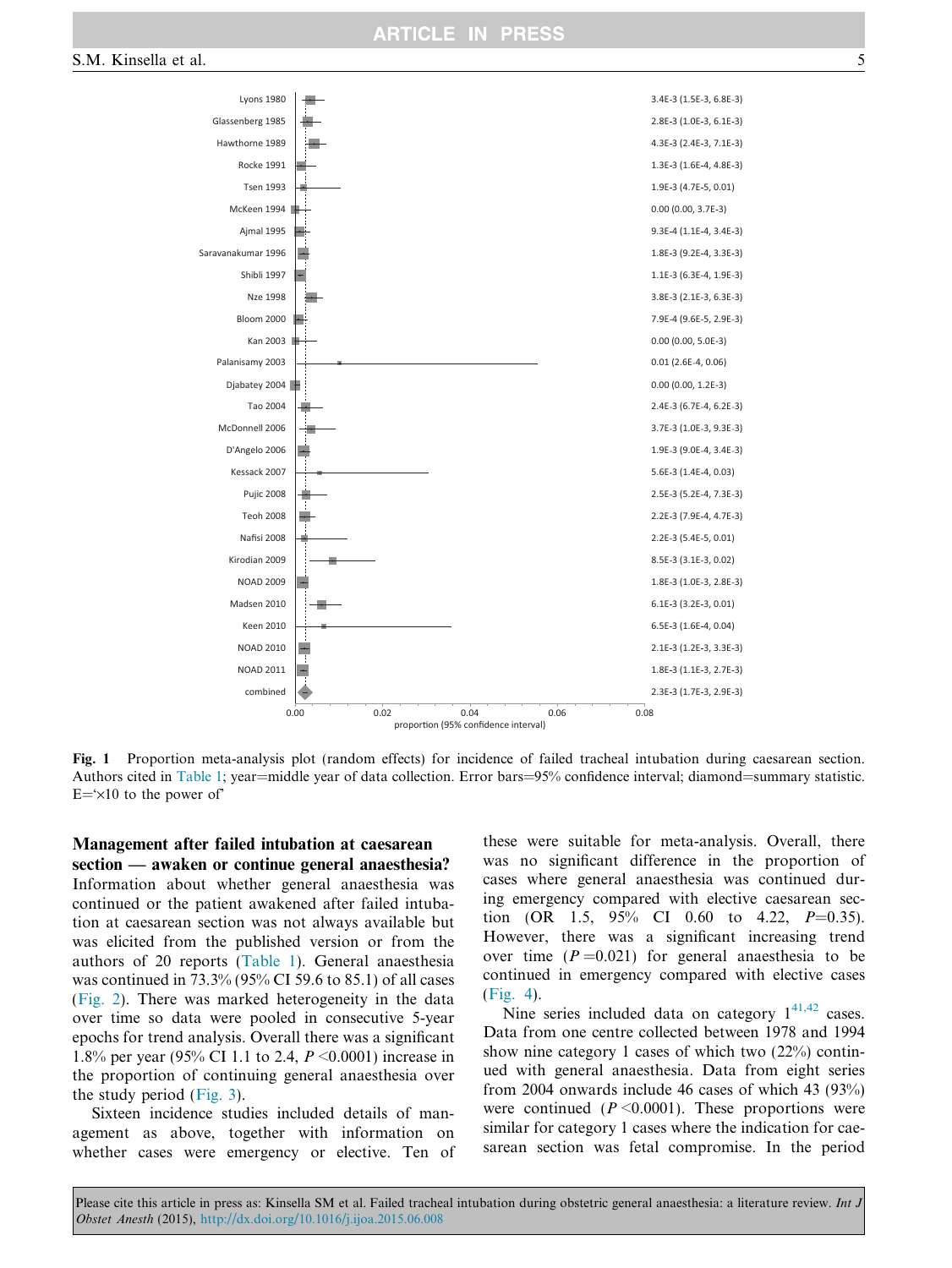<span id="page-4-0"></span>

Fig. 1 Proportion meta-analysis plot (random effects) for incidence of failed tracheal intubation during caesarean section. Authors cited in [Table 1](#page-2-0); year=middle year of data collection. Error bars=95% confidence interval; diamond=summary statistic.  $E = \times 10$  to the power of

#### Management after failed intubation at caesarean section — awaken or continue general anaesthesia?

Information about whether general anaesthesia was continued or the patient awakened after failed intubation at caesarean section was not always available but was elicited from the published version or from the authors of 20 reports [\(Table 1\)](#page-2-0). General anaesthesia was continued in 73.3% (95% CI 59.6 to 85.1) of all cases ([Fig. 2](#page-5-0)). There was marked heterogeneity in the data over time so data were pooled in consecutive 5-year epochs for trend analysis. Overall there was a significant 1.8% per year (95% CI 1.1 to 2.4, P <0.0001) increase in the proportion of continuing general anaesthesia over the study period ([Fig. 3\)](#page-5-0).

Sixteen incidence studies included details of management as above, together with information on whether cases were emergency or elective. Ten of these were suitable for meta-analysis. Overall, there was no significant difference in the proportion of cases where general anaesthesia was continued during emergency compared with elective caesarean section (OR 1.5,  $95\%$  CI 0.60 to 4.22,  $P=0.35$ ). However, there was a significant increasing trend over time  $(P=0.021)$  for general anaesthesia to be continued in emergency compared with elective cases ([Fig. 4](#page-5-0)).

Nine series included data on category  $1^{41,42}$  $1^{41,42}$  $1^{41,42}$  cases. Data from one centre collected between 1978 and 1994 show nine category 1 cases of which two (22%) continued with general anaesthesia. Data from eight series from 2004 onwards include 46 cases of which 43 (93%) were continued ( $P \leq 0.0001$ ). These proportions were similar for category 1 cases where the indication for caesarean section was fetal compromise. In the period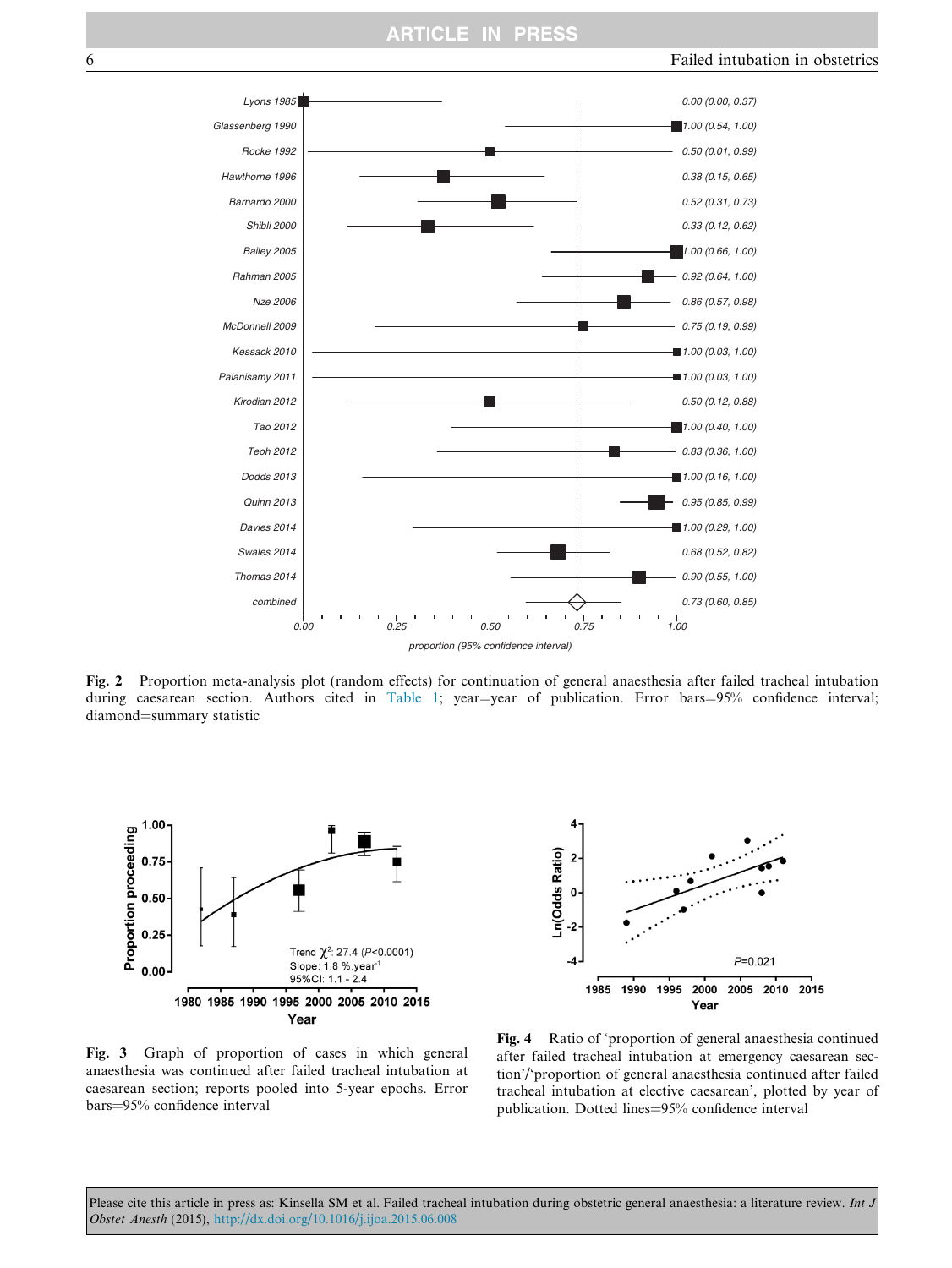<span id="page-5-0"></span>

Fig. 2 Proportion meta-analysis plot (random effects) for continuation of general anaesthesia after failed tracheal intubation during caesarean section. Authors cited in [Table 1;](#page-2-0) year=year of publication. Error bars=95% confidence interval; diamond=summary statistic



Ln(Odds Ratio)  $\overline{\mathbf{c}}$ 0  $\overline{2}$  $P = 0.021$ -4 1985 1990 1995 2000 2005 2010 2015 Year

Fig. 3 Graph of proportion of cases in which general anaesthesia was continued after failed tracheal intubation at caesarean section; reports pooled into 5-year epochs. Error bars=95% confidence interval

Fig. 4 Ratio of 'proportion of general anaesthesia continued after failed tracheal intubation at emergency caesarean section'/'proportion of general anaesthesia continued after failed tracheal intubation at elective caesarean', plotted by year of publication. Dotted lines=95% confidence interval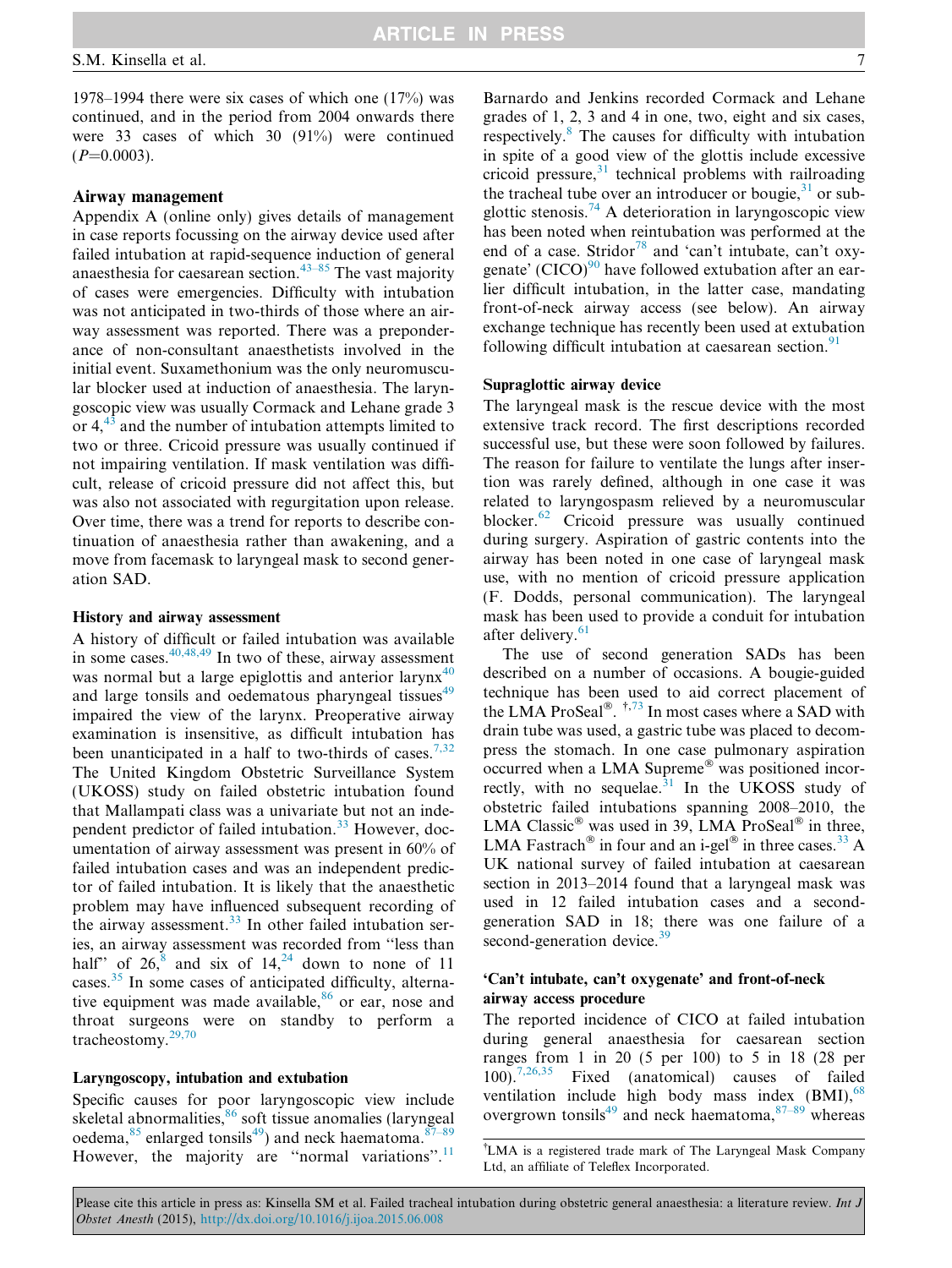1978–1994 there were six cases of which one (17%) was continued, and in the period from 2004 onwards there were 33 cases of which 30 (91%) were continued  $(P=0.0003)$ .

#### Airway management

Appendix A (online only) gives details of management in case reports focussing on the airway device used after failed intubation at rapid-sequence induction of general anaesthesia for caesarean section.<sup>[43–85](#page-16-0)</sup> The vast majority of cases were emergencies. Difficulty with intubation was not anticipated in two-thirds of those where an airway assessment was reported. There was a preponderance of non-consultant anaesthetists involved in the initial event. Suxamethonium was the only neuromuscular blocker used at induction of anaesthesia. The laryngoscopic view was usually Cormack and Lehane grade 3 or  $4.43$  $4.43$  and the number of intubation attempts limited to two or three. Cricoid pressure was usually continued if not impairing ventilation. If mask ventilation was difficult, release of cricoid pressure did not affect this, but was also not associated with regurgitation upon release. Over time, there was a trend for reports to describe continuation of anaesthesia rather than awakening, and a move from facemask to laryngeal mask to second generation SAD.

#### History and airway assessment

A history of difficult or failed intubation was available in some cases. $40,48,49$  In two of these, airway assessment was normal but a large epiglottis and anterior larynx<sup>[40](#page-16-0)</sup> and large tonsils and oedematous pharyngeal tissues<sup>[49](#page-16-0)</sup> impaired the view of the larynx. Preoperative airway examination is insensitive, as difficult intubation has been unanticipated in a half to two-thirds of cases.<sup>[7,32](#page-15-0)</sup> The United Kingdom Obstetric Surveillance System (UKOSS) study on failed obstetric intubation found that Mallampati class was a univariate but not an inde-pendent predictor of failed intubation.<sup>[33](#page-16-0)</sup> However, documentation of airway assessment was present in 60% of failed intubation cases and was an independent predictor of failed intubation. It is likely that the anaesthetic problem may have influenced subsequent recording of the airway assessment. $33$  In other failed intubation series, an airway assessment was recorded from ''less than half" of  $26$ ,  $8$  and six of  $14$ ,  $24$  down to none of 11 cases.[35](#page-16-0) In some cases of anticipated difficulty, alternative equipment was made available, $86$  or ear, nose and throat surgeons were on standby to perform a tracheostomy.[29,70](#page-15-0)

### Laryngoscopy, intubation and extubation

Specific causes for poor laryngoscopic view include skeletal abnormalities, <sup>[86](#page-17-0)</sup> soft tissue anomalies (laryngeal oedema,  $85$  enlarged tonsils<sup>[49](#page-16-0)</sup>) and neck haematoma.  $87-89$ However, the majority are "normal variations".<sup>[11](#page-15-0)</sup> Barnardo and Jenkins recorded Cormack and Lehane grades of 1, 2, 3 and 4 in one, two, eight and six cases, respectively.[8](#page-15-0) The causes for difficulty with intubation in spite of a good view of the glottis include excessive cricoid pressure, $31$  technical problems with railroading the tracheal tube over an introducer or bougie,  $31$  or sub-glottic stenosis.<sup>[74](#page-16-0)</sup> A deterioration in laryngoscopic view has been noted when reintubation was performed at the end of a case. Stridor<sup>[78](#page-16-0)</sup> and 'can't intubate, can't oxygenate' (CICO) $90$  have followed extubation after an earlier difficult intubation, in the latter case, mandating front-of-neck airway access (see below). An airway exchange technique has recently been used at extubation following difficult intubation at caesarean section. $91$ 

#### Supraglottic airway device

The laryngeal mask is the rescue device with the most extensive track record. The first descriptions recorded successful use, but these were soon followed by failures. The reason for failure to ventilate the lungs after insertion was rarely defined, although in one case it was related to laryngospasm relieved by a neuromuscular blocker.<sup>[62](#page-16-0)</sup> Cricoid pressure was usually continued during surgery. Aspiration of gastric contents into the airway has been noted in one case of laryngeal mask use, with no mention of cricoid pressure application (F. Dodds, personal communication). The laryngeal mask has been used to provide a conduit for intubation after delivery.<sup>[61](#page-16-0)</sup>

The use of second generation SADs has been described on a number of occasions. A bougie-guided technique has been used to aid correct placement of the LMA ProSeal<sup>®</sup>.  $\frac{1}{7}$ [,73](#page-16-0) In most cases where a SAD with drain tube was used, a gastric tube was placed to decompress the stomach. In one case pulmonary aspiration  $\mathrm{occurred}$  when a LMA Supreme $\mathrm{^{\circledast}}$  was positioned incorrectly, with no sequelae. $31$  In the UKOSS study of obstetric failed intubations spanning 2008–2010, the LMA Classic® was used in 39, LMA ProSeal® in three, LMA Fastrach<sup>®</sup> in four and an i-gel<sup>®</sup> in three cases.<sup>[33](#page-16-0)</sup> A UK national survey of failed intubation at caesarean section in 2013–2014 found that a laryngeal mask was used in 12 failed intubation cases and a secondgeneration SAD in 18; there was one failure of a second-generation device.<sup>[39](#page-16-0)</sup>

### 'Can't intubate, can't oxygenate' and front-of-neck airway access procedure

The reported incidence of CICO at failed intubation during general anaesthesia for caesarean section ranges from 1 in 20 (5 per 100) to 5 in 18 (28 per 100).[7,26,35](#page-15-0) Fixed (anatomical) causes of failed ventilation include high body mass index  $(BMI)$ , <sup>68</sup> overgrown tonsils<sup>[49](#page-16-0)</sup> and neck haematoma,  $87-89$  whereas

<sup>-</sup> LMA is a registered trade mark of The Laryngeal Mask Company Ltd, an affiliate of Teleflex Incorporated.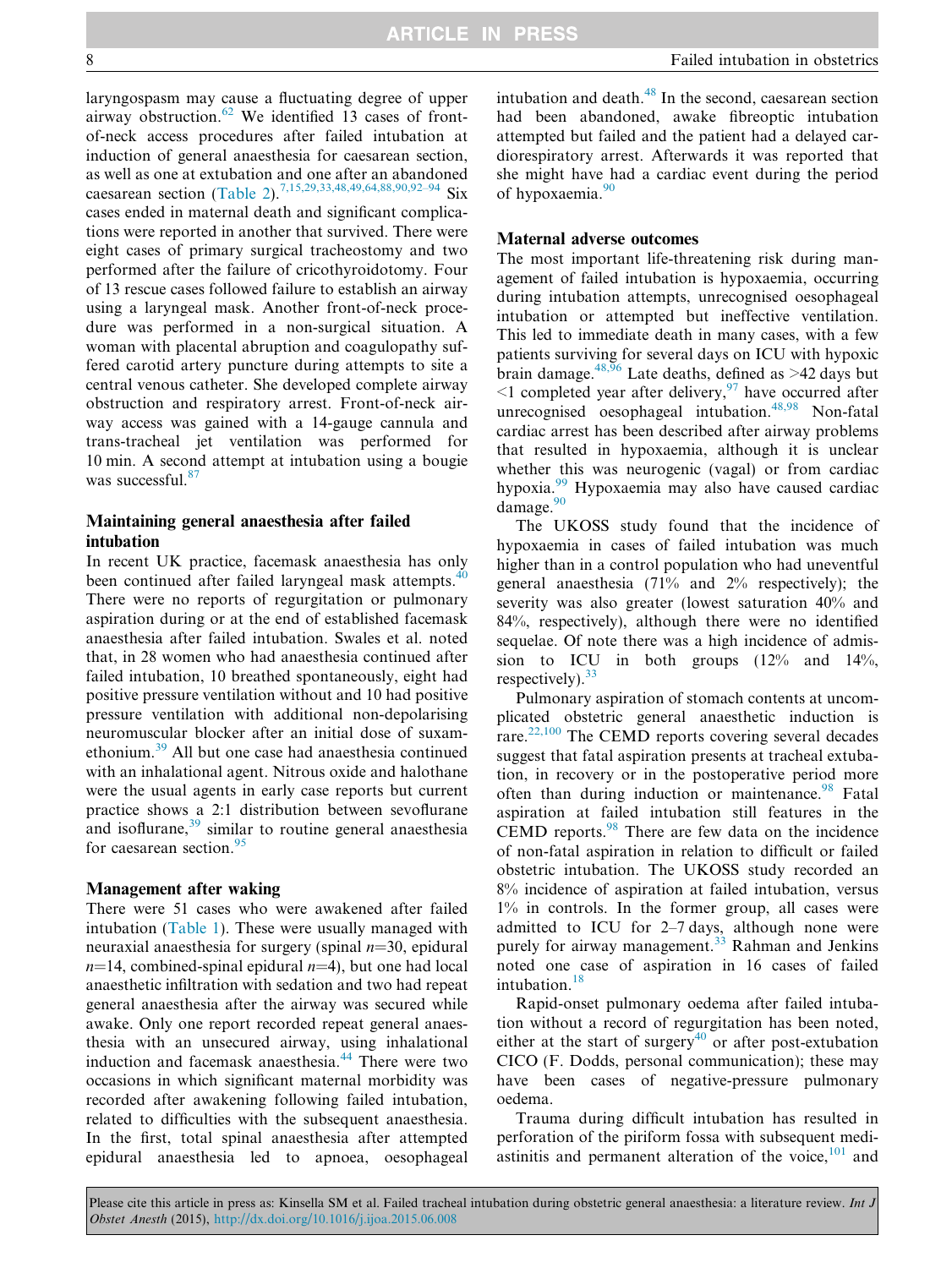laryngospasm may cause a fluctuating degree of upper airway obstruction. $62$  We identified 13 cases of frontof-neck access procedures after failed intubation at induction of general anaesthesia for caesarean section, as well as one at extubation and one after an abandoned caesarean section ([Table 2](#page-8-0)).<sup>[7,15,29,33,48,49,64,88,90,92–94](#page-15-0)</sup> Six cases ended in maternal death and significant complications were reported in another that survived. There were eight cases of primary surgical tracheostomy and two performed after the failure of cricothyroidotomy. Four of 13 rescue cases followed failure to establish an airway using a laryngeal mask. Another front-of-neck procedure was performed in a non-surgical situation. A woman with placental abruption and coagulopathy suffered carotid artery puncture during attempts to site a central venous catheter. She developed complete airway obstruction and respiratory arrest. Front-of-neck airway access was gained with a 14-gauge cannula and trans-tracheal jet ventilation was performed for 10 min. A second attempt at intubation using a bougie was successful.<sup>[87](#page-17-0)</sup>

# Maintaining general anaesthesia after failed intubation

In recent UK practice, facemask anaesthesia has only been continued after failed laryngeal mask attempts.<sup>40</sup> There were no reports of regurgitation or pulmonary aspiration during or at the end of established facemask anaesthesia after failed intubation. Swales et al. noted that, in 28 women who had anaesthesia continued after failed intubation, 10 breathed spontaneously, eight had positive pressure ventilation without and 10 had positive pressure ventilation with additional non-depolarising neuromuscular blocker after an initial dose of suxamethonium.[39](#page-16-0) All but one case had anaesthesia continued with an inhalational agent. Nitrous oxide and halothane were the usual agents in early case reports but current practice shows a 2:1 distribution between sevoflurane and isoflurane, $39 \sin \theta$  $39 \sin \theta$  similar to routine general anaesthesia for caesarean section. $95$ 

#### Management after waking

There were 51 cases who were awakened after failed intubation [\(Table 1\)](#page-2-0). These were usually managed with neuraxial anaesthesia for surgery (spinal  $n=30$ , epidural  $n=14$ , combined-spinal epidural  $n=4$ ), but one had local anaesthetic infiltration with sedation and two had repeat general anaesthesia after the airway was secured while awake. Only one report recorded repeat general anaesthesia with an unsecured airway, using inhalational induction and facemask anaesthesia.<sup>[44](#page-16-0)</sup> There were two occasions in which significant maternal morbidity was recorded after awakening following failed intubation, related to difficulties with the subsequent anaesthesia. In the first, total spinal anaesthesia after attempted epidural anaesthesia led to apnoea, oesophageal

intubation and death. $48$  In the second, caesarean section had been abandoned, awake fibreoptic intubation attempted but failed and the patient had a delayed cardiorespiratory arrest. Afterwards it was reported that she might have had a cardiac event during the period of hypoxaemia.<sup>[90](#page-17-0)</sup>

#### Maternal adverse outcomes

The most important life-threatening risk during management of failed intubation is hypoxaemia, occurring during intubation attempts, unrecognised oesophageal intubation or attempted but ineffective ventilation. This led to immediate death in many cases, with a few patients surviving for several days on ICU with hypoxic brain damage.<sup>[48,96](#page-16-0)</sup> Late deaths, defined as >42 days but  $\leq$ 1 completed year after delivery,  $\frac{97}{7}$  $\frac{97}{7}$  $\frac{97}{7}$  have occurred after unrecognised oesophageal intubation.<sup>[48,98](#page-16-0)</sup> Non-fatal cardiac arrest has been described after airway problems that resulted in hypoxaemia, although it is unclear whether this was neurogenic (vagal) or from cardiac hypoxia.[99](#page-17-0) Hypoxaemia may also have caused cardiac damage. $90$ 

The UKOSS study found that the incidence of hypoxaemia in cases of failed intubation was much higher than in a control population who had uneventful general anaesthesia (71% and 2% respectively); the severity was also greater (lowest saturation 40% and 84%, respectively), although there were no identified sequelae. Of note there was a high incidence of admission to ICU in both groups  $(12\%$  and  $14\%$ , respectively).  $33$ 

Pulmonary aspiration of stomach contents at uncomplicated obstetric general anaesthetic induction is rare.[22,100](#page-15-0) The CEMD reports covering several decades suggest that fatal aspiration presents at tracheal extubation, in recovery or in the postoperative period more often than during induction or maintenance.<sup>[98](#page-17-0)</sup> Fatal aspiration at failed intubation still features in the CEMD reports. $98$  There are few data on the incidence of non-fatal aspiration in relation to difficult or failed obstetric intubation. The UKOSS study recorded an 8% incidence of aspiration at failed intubation, versus 1% in controls. In the former group, all cases were admitted to ICU for 2–7 days, although none were purely for airway management.<sup>[33](#page-16-0)</sup> Rahman and Jenkins noted one case of aspiration in 16 cases of failed intubation.<sup>[18](#page-15-0)</sup>

Rapid-onset pulmonary oedema after failed intubation without a record of regurgitation has been noted, either at the start of surgery<sup>[40](#page-16-0)</sup> or after post-extubation CICO (F. Dodds, personal communication); these may have been cases of negative-pressure pulmonary oedema.

Trauma during difficult intubation has resulted in perforation of the piriform fossa with subsequent mediastinitis and permanent alteration of the voice, $101$  and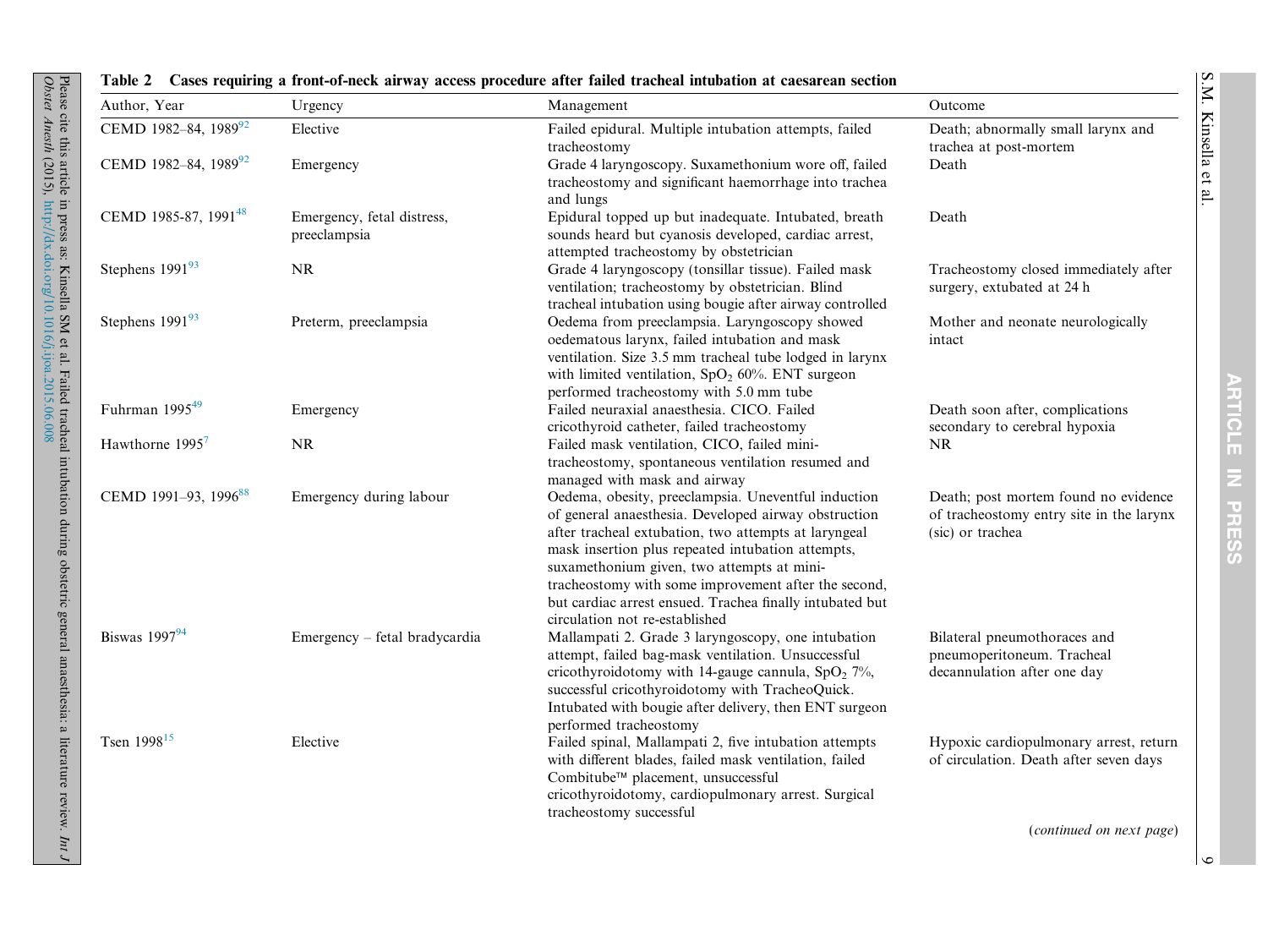| ll larynx and         | S |  |
|-----------------------|---|--|
| mediately after<br>ŀh |   |  |
| urologically          |   |  |
| lications<br>ypoxia   |   |  |

| Author, Year                     | Urgency                                    | Management                                                                                                                                                                                                                                                                                                                                                                                                                   | Outcome                                                                                              |
|----------------------------------|--------------------------------------------|------------------------------------------------------------------------------------------------------------------------------------------------------------------------------------------------------------------------------------------------------------------------------------------------------------------------------------------------------------------------------------------------------------------------------|------------------------------------------------------------------------------------------------------|
| CEMD 1982-84, 1989 <sup>92</sup> | Elective                                   | Failed epidural. Multiple intubation attempts, failed<br>tracheostomy                                                                                                                                                                                                                                                                                                                                                        | Death; abnormally small larynx and<br>trachea at post-mortem                                         |
| CEMD 1982-84, 1989 <sup>92</sup> | Emergency                                  | Grade 4 laryngoscopy. Suxamethonium wore off, failed<br>tracheostomy and significant haemorrhage into trachea<br>and lungs                                                                                                                                                                                                                                                                                                   | Death                                                                                                |
| CEMD 1985-87, 1991 <sup>48</sup> | Emergency, fetal distress,<br>preeclampsia | Epidural topped up but inadequate. Intubated, breath<br>sounds heard but cyanosis developed, cardiac arrest,<br>attempted tracheostomy by obstetrician                                                                                                                                                                                                                                                                       | Death                                                                                                |
| Stephens 199193                  | $\rm NR$                                   | Grade 4 laryngoscopy (tonsillar tissue). Failed mask<br>ventilation; tracheostomy by obstetrician. Blind<br>tracheal intubation using bougie after airway controlled                                                                                                                                                                                                                                                         | Tracheostomy closed immediately after<br>surgery, extubated at 24 h                                  |
| Stephens $199193$                | Preterm, preeclampsia                      | Oedema from preeclampsia. Laryngoscopy showed<br>oedematous larynx, failed intubation and mask<br>ventilation. Size 3.5 mm tracheal tube lodged in larynx<br>with limited ventilation, $SpO2 60%$ . ENT surgeon<br>performed tracheostomy with 5.0 mm tube                                                                                                                                                                   | Mother and neonate neurologically<br>intact                                                          |
| Fuhrman $1995^{49}$              | Emergency                                  | Failed neuraxial anaesthesia. CICO. Failed<br>cricothyroid catheter, failed tracheostomy                                                                                                                                                                                                                                                                                                                                     | Death soon after, complications<br>secondary to cerebral hypoxia                                     |
| Hawthorne 1995 <sup>7</sup>      | $\rm NR$                                   | Failed mask ventilation, CICO, failed mini-<br>tracheostomy, spontaneous ventilation resumed and<br>managed with mask and airway                                                                                                                                                                                                                                                                                             | <b>NR</b>                                                                                            |
| CEMD 1991-93, 1996 <sup>88</sup> | Emergency during labour                    | Oedema, obesity, preeclampsia. Uneventful induction<br>of general anaesthesia. Developed airway obstruction<br>after tracheal extubation, two attempts at laryngeal<br>mask insertion plus repeated intubation attempts,<br>suxamethonium given, two attempts at mini-<br>tracheostomy with some improvement after the second,<br>but cardiac arrest ensued. Trachea finally intubated but<br>circulation not re-established | Death; post mortem found no evidence<br>of tracheostomy entry site in the larynx<br>(sic) or trachea |
| Biswas $1997^{94}$               | Emergency - fetal bradycardia              | Mallampati 2. Grade 3 laryngoscopy, one intubation<br>attempt, failed bag-mask ventilation. Unsuccessful<br>cricothyroidotomy with 14-gauge cannula, $SpO2 7%$ ,<br>successful cricothyroidotomy with TracheoQuick.<br>Intubated with bougie after delivery, then ENT surgeon<br>performed tracheostomy                                                                                                                      | Bilateral pneumothoraces and<br>pneumoperitoneum. Tracheal<br>decannulation after one day            |
| Tsen 1998 <sup>15</sup>          | Elective                                   | Failed spinal, Mallampati 2, five intubation attempts<br>with different blades, failed mask ventilation, failed<br>Combitube™ placement, unsuccessful<br>cricothyroidotomy, cardiopulmonary arrest. Surgical<br>tracheostomy successful                                                                                                                                                                                      | Hypoxic cardiopulmonary arrest, return<br>of circulation. Death after seven days                     |
|                                  |                                            |                                                                                                                                                                                                                                                                                                                                                                                                                              | (continued on next page)                                                                             |

# Table 2 Cases requiring <sup>a</sup> front-of-neck airway access procedure after failed tracheal intubation at caesarean section

Please cite this article in press as: Kinsella SM et al. Failed tracheal intubation during obstetric general anaesthesia: a literature review.

<span id="page-8-0"></span>Obstet Anesth

(2015),

<http://dx.doi.org/10.1016/j.ijoa.2015.06.008>

Int J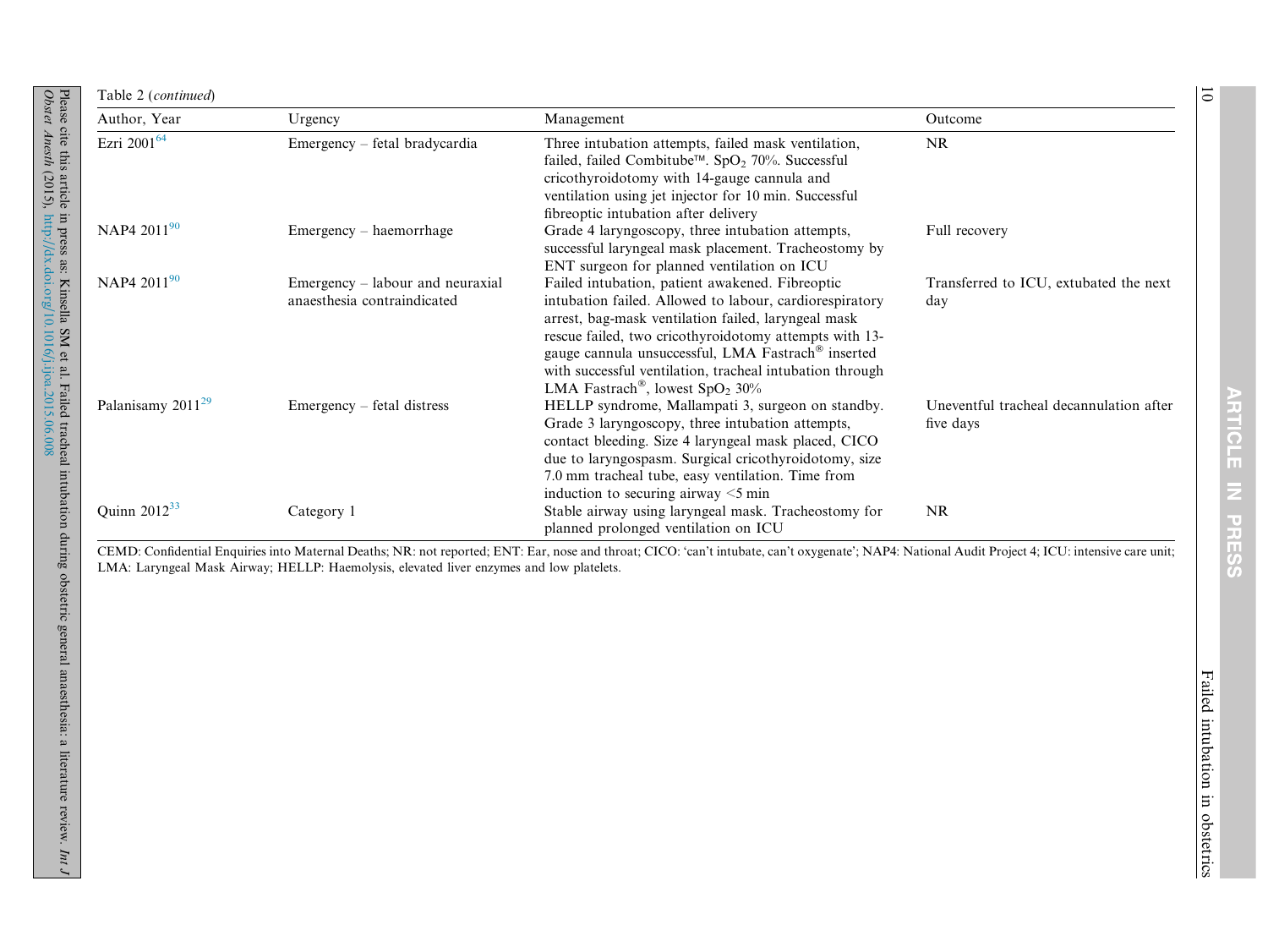| Author, Year                  | Urgency                                                         | Management                                                                                                                                                                                                                                                                                                                                                                                                 | Outcome                                              |
|-------------------------------|-----------------------------------------------------------------|------------------------------------------------------------------------------------------------------------------------------------------------------------------------------------------------------------------------------------------------------------------------------------------------------------------------------------------------------------------------------------------------------------|------------------------------------------------------|
| Ezri 2001 <sup>64</sup>       | Emergency – fetal bradycardia                                   | Three intubation attempts, failed mask ventilation,<br>failed, failed Combitube™. SpO <sub>2</sub> 70%. Successful<br>cricothyroidotomy with 14-gauge cannula and<br>ventilation using jet injector for 10 min. Successful<br>fibreoptic intubation after delivery                                                                                                                                         | <b>NR</b>                                            |
| NAP4 2011 <sup>90</sup>       | Emergency – haemorrhage                                         | Grade 4 laryngoscopy, three intubation attempts,<br>successful laryngeal mask placement. Tracheostomy by<br>ENT surgeon for planned ventilation on ICU                                                                                                                                                                                                                                                     | Full recovery                                        |
| NAP4 2011 <sup>90</sup>       | Emergency – labour and neuraxial<br>anaesthesia contraindicated | Failed intubation, patient awakened. Fibreoptic<br>intubation failed. Allowed to labour, cardiorespiratory<br>arrest, bag-mask ventilation failed, laryngeal mask<br>rescue failed, two cricothyroidotomy attempts with 13-<br>gauge cannula unsuccessful, LMA Fastrach <sup>®</sup> inserted<br>with successful ventilation, tracheal intubation through<br>LMA Fastrach <sup>®</sup> , lowest $SpO2 30%$ | Transferred to ICU, extubated the next<br>day        |
| Palanisamy 2011 <sup>29</sup> | $E$ mergency – fetal distress                                   | HELLP syndrome, Mallampati 3, surgeon on standby.<br>Grade 3 laryngoscopy, three intubation attempts,<br>contact bleeding. Size 4 laryngeal mask placed, CICO<br>due to laryngospasm. Surgical cricothyroidotomy, size<br>7.0 mm tracheal tube, easy ventilation. Time from<br>induction to securing airway $\leq$ 5 min                                                                                   | Uneventful tracheal decannulation after<br>five days |
| Quinn $2012^{33}$             | Category 1                                                      | Stable airway using laryngeal mask. Tracheostomy for<br>planned prolonged ventilation on ICU                                                                                                                                                                                                                                                                                                               | <b>NR</b>                                            |

CEMD: Confidential Enquiries into Maternal Deaths; NR: not reported; ENT: Ear, nose and throat; CICO: 'can't intubate, can't oxygenate'; NAP4: National Audit Project 4; ICU: intensive care unit; LMA: Laryngeal Mask Airway; HELLP: Haemolysis, elevated liver enzymes and low platelets.

ARTICLE IN PRESS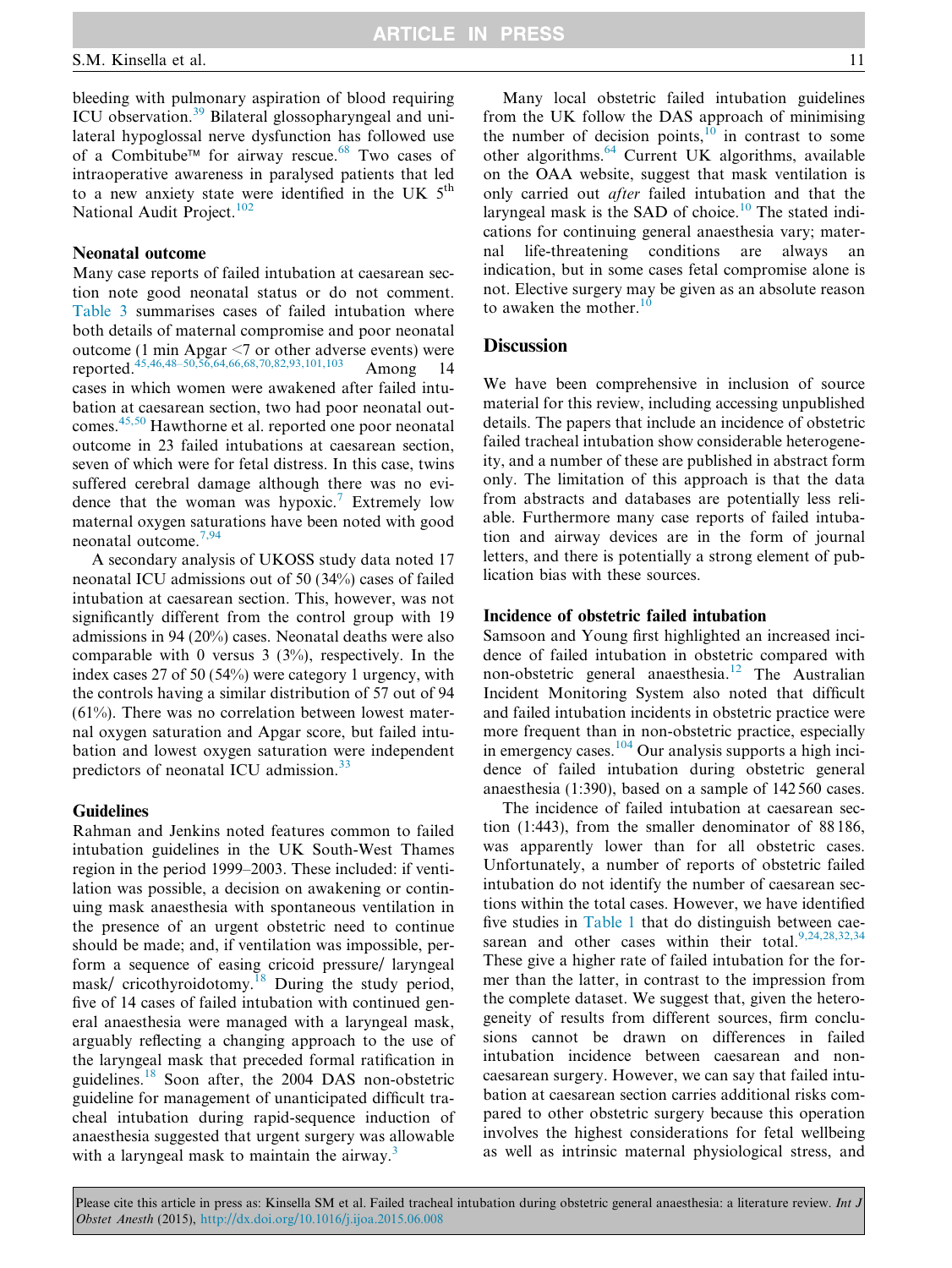bleeding with pulmonary aspiration of blood requiring ICU observation.[39](#page-16-0) Bilateral glossopharyngeal and unilateral hypoglossal nerve dysfunction has followed use of a Combitube<sup> $\text{TM}$ </sup> for airway rescue.<sup>[68](#page-16-0)</sup> Two cases of intraoperative awareness in paralysed patients that led to a new anxiety state were identified in the UK  $5<sup>th</sup>$ National Audit Project.<sup>[102](#page-17-0)</sup>

# Neonatal outcome

Many case reports of failed intubation at caesarean section note good neonatal status or do not comment. [Table 3](#page-11-0) summarises cases of failed intubation where both details of maternal compromise and poor neonatal outcome (1 min Apgar <7 or other adverse events) were reported.<sup>[45,46,48–50,56,64,66,68,70,82,93,101,103](#page-16-0)</sup> Among 14 cases in which women were awakened after failed intubation at caesarean section, two had poor neonatal outcomes.[45,50](#page-16-0) Hawthorne et al. reported one poor neonatal outcome in 23 failed intubations at caesarean section, seven of which were for fetal distress. In this case, twins suffered cerebral damage although there was no evi-dence that the woman was hypoxic.<sup>[7](#page-15-0)</sup> Extremely low maternal oxygen saturations have been noted with good neonatal outcome.[7,94](#page-15-0)

A secondary analysis of UKOSS study data noted 17 neonatal ICU admissions out of 50 (34%) cases of failed intubation at caesarean section. This, however, was not significantly different from the control group with 19 admissions in 94 (20%) cases. Neonatal deaths were also comparable with 0 versus  $3 \frac{3\%}{9}$ , respectively. In the index cases 27 of 50 (54%) were category 1 urgency, with the controls having a similar distribution of 57 out of 94 (61%). There was no correlation between lowest maternal oxygen saturation and Apgar score, but failed intubation and lowest oxygen saturation were independent predictors of neonatal ICU admission.<sup>[33](#page-16-0)</sup>

#### **Guidelines**

Rahman and Jenkins noted features common to failed intubation guidelines in the UK South-West Thames region in the period 1999–2003. These included: if ventilation was possible, a decision on awakening or continuing mask anaesthesia with spontaneous ventilation in the presence of an urgent obstetric need to continue should be made; and, if ventilation was impossible, perform a sequence of easing cricoid pressure/ laryngeal mask/ cricothyroidotomy.<sup>[18](#page-15-0)</sup> During the study period, five of 14 cases of failed intubation with continued general anaesthesia were managed with a laryngeal mask, arguably reflecting a changing approach to the use of the laryngeal mask that preceded formal ratification in guidelines.<sup>[18](#page-15-0)</sup> Soon after, the 2004 DAS non-obstetric guideline for management of unanticipated difficult tracheal intubation during rapid-sequence induction of anaesthesia suggested that urgent surgery was allowable with a laryngeal mask to maintain the airway. $3$ 

Many local obstetric failed intubation guidelines from the UK follow the DAS approach of minimising the number of decision points, $10^{\circ}$  $10^{\circ}$  in contrast to some other algorithms.<sup>[64](#page-16-0)</sup> Current UK algorithms, available on the OAA website, suggest that mask ventilation is only carried out after failed intubation and that the laryngeal mask is the SAD of choice.<sup>[10](#page-15-0)</sup> The stated indications for continuing general anaesthesia vary; maternal life-threatening conditions are always an indication, but in some cases fetal compromise alone is not. Elective surgery may be given as an absolute reason to awaken the mother. $10$ 

#### **Discussion**

We have been comprehensive in inclusion of source material for this review, including accessing unpublished details. The papers that include an incidence of obstetric failed tracheal intubation show considerable heterogeneity, and a number of these are published in abstract form only. The limitation of this approach is that the data from abstracts and databases are potentially less reliable. Furthermore many case reports of failed intubation and airway devices are in the form of journal letters, and there is potentially a strong element of publication bias with these sources.

#### Incidence of obstetric failed intubation

Samsoon and Young first highlighted an increased incidence of failed intubation in obstetric compared with non-obstetric general anaesthesia.<sup>[12](#page-15-0)</sup> The Australian Incident Monitoring System also noted that difficult and failed intubation incidents in obstetric practice were more frequent than in non-obstetric practice, especially in emergency cases.<sup>[104](#page-17-0)</sup> Our analysis supports a high incidence of failed intubation during obstetric general anaesthesia (1:390), based on a sample of 142 560 cases.

The incidence of failed intubation at caesarean section (1:443), from the smaller denominator of 88 186, was apparently lower than for all obstetric cases. Unfortunately, a number of reports of obstetric failed intubation do not identify the number of caesarean sections within the total cases. However, we have identified five studies in [Table 1](#page-2-0) that do distinguish between cae-sarean and other cases within their total.<sup>[9,24,28,32,34](#page-15-0)</sup> These give a higher rate of failed intubation for the former than the latter, in contrast to the impression from the complete dataset. We suggest that, given the heterogeneity of results from different sources, firm conclusions cannot be drawn on differences in failed intubation incidence between caesarean and noncaesarean surgery. However, we can say that failed intubation at caesarean section carries additional risks compared to other obstetric surgery because this operation involves the highest considerations for fetal wellbeing as well as intrinsic maternal physiological stress, and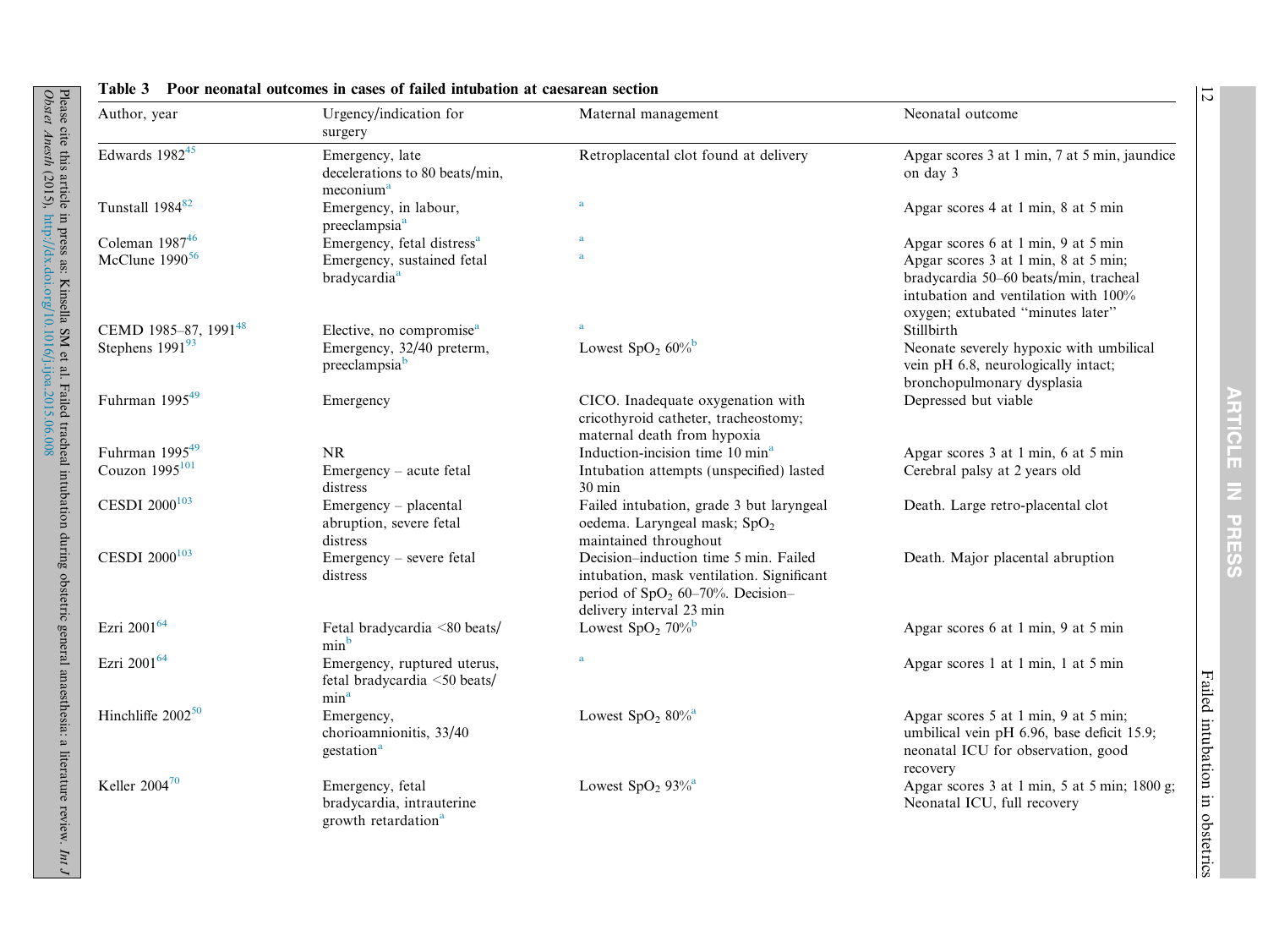<span id="page-11-0"></span>

| Author, year                     | Urgency/indication for<br>surgery                                                | Maternal management                                                                                                                                   | Neonatal outcome                                                                                                                                           |
|----------------------------------|----------------------------------------------------------------------------------|-------------------------------------------------------------------------------------------------------------------------------------------------------|------------------------------------------------------------------------------------------------------------------------------------------------------------|
| Edwards $1982^{45}$              | Emergency, late<br>decelerations to 80 beats/min,<br>meconium <sup>a</sup>       | Retroplacental clot found at delivery                                                                                                                 | Apgar scores 3 at 1 min, 7 at 5 min, jaundice<br>on day 3                                                                                                  |
| Tunstall 1984 <sup>82</sup>      | Emergency, in labour,<br>preeclampsia <sup>a</sup>                               | a                                                                                                                                                     | Apgar scores 4 at 1 min, 8 at 5 min                                                                                                                        |
| Coleman $1987^{46}$              | Emergency, fetal distress <sup>a</sup>                                           | a                                                                                                                                                     | Apgar scores 6 at 1 min, 9 at 5 min                                                                                                                        |
| McClune $1990^{56}$              | Emergency, sustained fetal<br>bradycardia <sup>a</sup>                           | <b>a</b>                                                                                                                                              | Apgar scores 3 at 1 min, 8 at 5 min;<br>bradycardia 50-60 beats/min, tracheal<br>intubation and ventilation with 100%<br>oxygen; extubated "minutes later" |
| CEMD 1985-87, 1991 <sup>48</sup> | Elective, no compromise <sup>a</sup>                                             |                                                                                                                                                       | Stillbirth                                                                                                                                                 |
| Stephens $199193$                | Emergency, 32/40 preterm,<br>preeclampsiab                                       | Lowest SpO <sub>2</sub> $60\%$ <sup>b</sup>                                                                                                           | Neonate severely hypoxic with umbilical<br>vein pH 6.8, neurologically intact;<br>bronchopulmonary dysplasia                                               |
| Fuhrman $1995^{49}$              | Emergency                                                                        | CICO. Inadequate oxygenation with<br>cricothyroid catheter, tracheostomy;<br>maternal death from hypoxia                                              | Depressed but viable                                                                                                                                       |
| Fuhrman $1995^{49}$              | NR.                                                                              | Induction-incision time 10 min <sup>a</sup>                                                                                                           | Apgar scores 3 at 1 min, 6 at 5 min                                                                                                                        |
| Couzon $1995^{101}$              | Emergency – acute fetal<br>distress                                              | Intubation attempts (unspecified) lasted<br>$30 \text{ min}$                                                                                          | Cerebral palsy at 2 years old                                                                                                                              |
| CESDI 2000 <sup>103</sup>        | Emergency - placental<br>abruption, severe fetal<br>distress                     | Failed intubation, grade 3 but laryngeal<br>oedema. Laryngeal mask; SpO <sub>2</sub><br>maintained throughout                                         | Death. Large retro-placental clot                                                                                                                          |
| CESDI 2000 <sup>103</sup>        | Emergency – severe fetal<br>distress                                             | Decision-induction time 5 min. Failed<br>intubation, mask ventilation. Significant<br>period of $SpO2 60–70%$ . Decision-<br>delivery interval 23 min | Death. Major placental abruption                                                                                                                           |
| Ezri 2001 <sup>64</sup>          | Fetal bradycardia <80 beats/<br>min <sup>b</sup>                                 | Lowest $SpO2 706$                                                                                                                                     | Apgar scores 6 at 1 min, 9 at 5 min                                                                                                                        |
| Ezri 2001 <sup>64</sup>          | Emergency, ruptured uterus,<br>fetal bradycardia <50 beats/<br>min <sup>a</sup>  | a                                                                                                                                                     | Apgar scores 1 at 1 min, 1 at 5 min                                                                                                                        |
| Hinchliffe $2002^{50}$           | Emergency,<br>chorioamnionitis, 33/40<br>gestation <sup>a</sup>                  | Lowest $SpO2 80o/0$                                                                                                                                   | Apgar scores 5 at 1 min, 9 at 5 min;<br>umbilical vein pH 6.96, base deficit 15.9;<br>neonatal ICU for observation, good<br>recovery                       |
| Keller $2004^{70}$               | Emergency, fetal<br>bradycardia, intrauterine<br>growth retardation <sup>a</sup> | Lowest $SpO2 93o/0$                                                                                                                                   | Apgar scores 3 at 1 min, 5 at 5 min; 1800 g;<br>Neonatal ICU, full recovery                                                                                |

#### Table 3 Poor neonatal outcomes in cases of failed intubation at caesarean section

ARTICLE IN PRESS

12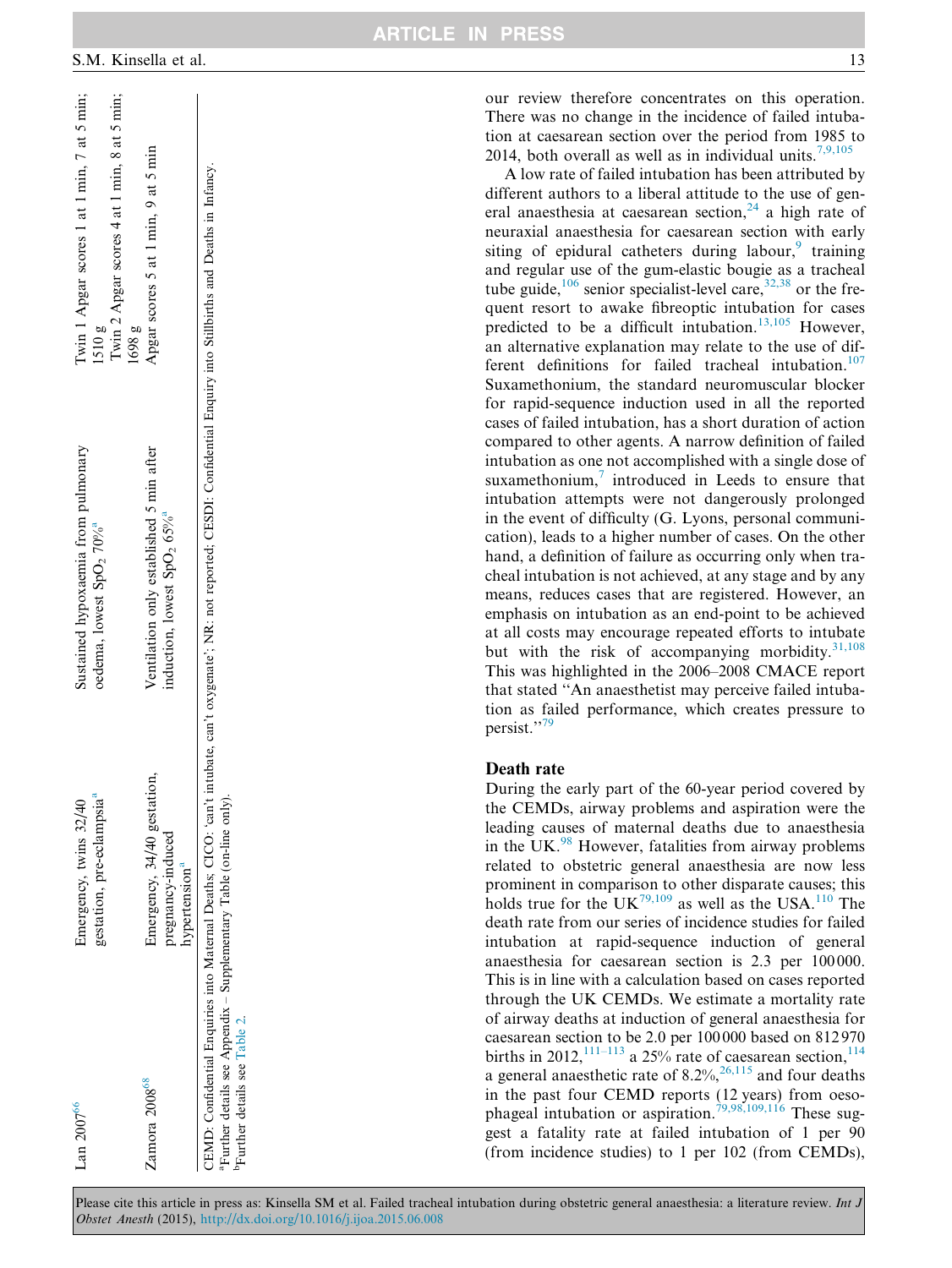our review therefore concentrates on this operation. There was no change in the incidence of failed intubation at caesarean section over the period from 1985 to 2014, both overall as well as in individual units.<sup>[7,9,105](#page-15-0)</sup>

A low rate of failed intubation has been attributed by different authors to a liberal attitude to the use of general anaesthesia at caesarean section,  $24$  a high rate of neuraxial anaesthesia for caesarean section with early siting of epidural catheters during labour, $9$  training and regular use of the gum-elastic bougie as a tracheal tube guide,<sup>[106](#page-17-0)</sup> senior specialist-level care,<sup>[32,38](#page-15-0)</sup> or the frequent resort to awake fibreoptic intubation for cases predicted to be a difficult intubation.<sup>[13,105](#page-15-0)</sup> However, an alternative explanation may relate to the use of different definitions for failed tracheal intubation. $107$ Suxamethonium, the standard neuromuscular blocker for rapid-sequence induction used in all the reported cases of failed intubation, has a short duration of action compared to other agents. A narrow definition of failed intubation as one not accomplished with a single dose of suxamethonium, $\frac{7}{7}$  $\frac{7}{7}$  $\frac{7}{7}$  introduced in Leeds to ensure that intubation attempts were not dangerously prolonged in the event of difficulty (G. Lyons, personal communication), leads to a higher number of cases. On the other hand, a definition of failure as occurring only when tracheal intubation is not achieved, at any stage and by any means, reduces cases that are registered. However, an emphasis on intubation as an end-point to be achieved at all costs may encourage repeated efforts to intubate but with the risk of accompanying morbidity. $31,108$ This was highlighted in the 2006–2008 CMACE report that stated ''An anaesthetist may perceive failed intubation as failed performance, which creates pressure to persist.''[79](#page-17-0)

#### Death rate

During the early part of the 60-year period covered by the CEMDs, airway problems and aspiration were the leading causes of maternal deaths due to anaesthesia in the UK. $^{98}$  $^{98}$  $^{98}$  However, fatalities from airway problems related to obstetric general anaesthesia are now less prominent in comparison to other disparate causes; this holds true for the UK<sup>[79,109](#page-17-0)</sup> as well as the USA.<sup>[110](#page-17-0)</sup> The death rate from our series of incidence studies for failed intubation at rapid-sequence induction of general anaesthesia for caesarean section is 2.3 per 100 000. This is in line with a calculation based on cases reported through the UK CEMDs. We estimate a mortality rate of airway deaths at induction of general anaesthesia for caesarean section to be 2.0 per 100 000 based on 812 970 births in 2012,<sup>[111–113](#page-17-0)</sup> a 25% rate of caesarean section,<sup>114</sup> a general anaesthetic rate of  $8.2\%$ ,  $26,115$  and four deaths in the past four CEMD reports (12 years) from oeso-phageal intubation or aspiration.<sup>[79,98,109,116](#page-17-0)</sup> These suggest a fatality rate at failed intubation of 1 per 90 (from incidence studies) to 1 per 102 (from CEMDs),

<span id="page-12-0"></span>

| Lan $2007^{\circ}$                                                                                 | gestation, pre-eclampsia <sup>a</sup><br>imergency, twins 32/40 | Sustained hypoxaemia from pulmonary<br>oedema, lowest $SpO2 70%$                                                                                                                  | Twin 1 Apgar scores 1 at 1 min, 7 at 5 min;<br>1510g  |
|----------------------------------------------------------------------------------------------------|-----------------------------------------------------------------|-----------------------------------------------------------------------------------------------------------------------------------------------------------------------------------|-------------------------------------------------------|
|                                                                                                    |                                                                 |                                                                                                                                                                                   | Twin 2 Apgar scores 4 at 1 min, 8 at 5 min;<br>1698 g |
| Zamora 2008 <sup>68</sup>                                                                          | Emergency, 34/40 gestation,                                     | Ventilation only established 5 min after                                                                                                                                          | Apgar scores 5 at 1 min, 9 at 5 min                   |
|                                                                                                    | pregnancy-induced                                               | induction, lowest $SpO2 65\%$                                                                                                                                                     |                                                       |
|                                                                                                    | hypertension <sup>a</sup>                                       |                                                                                                                                                                                   |                                                       |
|                                                                                                    |                                                                 | CEMD: Confidential Enquiries into Maternal Deaths; CICO: 'ean't intubate, can't oxygenate'; NR: not reported; CESDI: Confidential Enquiry into Stillbirths and Deaths in Infancy. |                                                       |
| Further details see Appendix - Supplementary Table (on-line only).<br>Further details see Table 2. |                                                                 |                                                                                                                                                                                   |                                                       |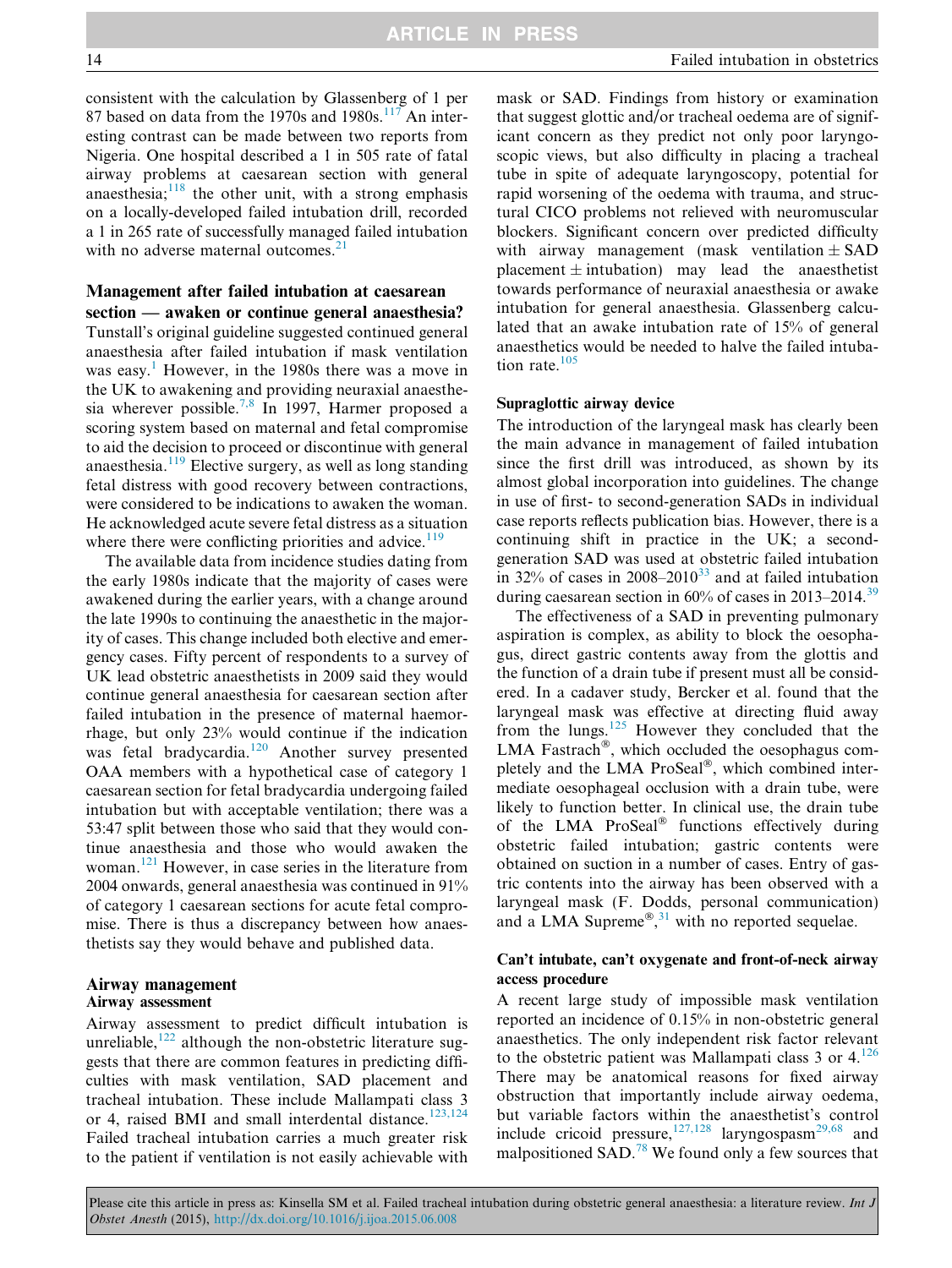consistent with the calculation by Glassenberg of 1 per 87 based on data from the 1970s and 1980s. $117$  An interesting contrast can be made between two reports from Nigeria. One hospital described a 1 in 505 rate of fatal airway problems at caesarean section with general anaesthesia; $118$  the other unit, with a strong emphasis on a locally-developed failed intubation drill, recorded a 1 in 265 rate of successfully managed failed intubation with no adverse maternal outcomes. $21$ 

# Management after failed intubation at caesarean

section — awaken or continue general anaesthesia? Tunstall's original guideline suggested continued general anaesthesia after failed intubation if mask ventilation was easy.<sup>[1](#page-15-0)</sup> However, in the 1980s there was a move in the UK to awakening and providing neuraxial anaesthe-sia wherever possible.<sup>[7,8](#page-15-0)</sup> In 1997, Harmer proposed a scoring system based on maternal and fetal compromise to aid the decision to proceed or discontinue with general anaesthesia.<sup>[119](#page-17-0)</sup> Elective surgery, as well as long standing fetal distress with good recovery between contractions, were considered to be indications to awaken the woman. He acknowledged acute severe fetal distress as a situation where there were conflicting priorities and advice. $119$ 

The available data from incidence studies dating from the early 1980s indicate that the majority of cases were awakened during the earlier years, with a change around the late 1990s to continuing the anaesthetic in the majority of cases. This change included both elective and emergency cases. Fifty percent of respondents to a survey of UK lead obstetric anaesthetists in 2009 said they would continue general anaesthesia for caesarean section after failed intubation in the presence of maternal haemorrhage, but only 23% would continue if the indication was fetal bradycardia.<sup>[120](#page-17-0)</sup> Another survey presented OAA members with a hypothetical case of category 1 caesarean section for fetal bradycardia undergoing failed intubation but with acceptable ventilation; there was a 53:47 split between those who said that they would continue anaesthesia and those who would awaken the woman.<sup>[121](#page-17-0)</sup> However, in case series in the literature from 2004 onwards, general anaesthesia was continued in 91% of category 1 caesarean sections for acute fetal compromise. There is thus a discrepancy between how anaesthetists say they would behave and published data.

#### Airway management Airway assessment

Airway assessment to predict difficult intubation is unreliable, $122$  although the non-obstetric literature suggests that there are common features in predicting difficulties with mask ventilation, SAD placement and tracheal intubation. These include Mallampati class 3 or 4, raised BMI and small interdental distance.<sup>[123,124](#page-18-0)</sup> Failed tracheal intubation carries a much greater risk to the patient if ventilation is not easily achievable with

mask or SAD. Findings from history or examination that suggest glottic and/or tracheal oedema are of significant concern as they predict not only poor laryngoscopic views, but also difficulty in placing a tracheal tube in spite of adequate laryngoscopy, potential for rapid worsening of the oedema with trauma, and structural CICO problems not relieved with neuromuscular blockers. Significant concern over predicted difficulty with airway management (mask ventilation  $\pm$  SAD placement  $\pm$  intubation) may lead the anaesthetist towards performance of neuraxial anaesthesia or awake intubation for general anaesthesia. Glassenberg calculated that an awake intubation rate of 15% of general anaesthetics would be needed to halve the failed intubation rate. $105$ 

#### Supraglottic airway device

The introduction of the laryngeal mask has clearly been the main advance in management of failed intubation since the first drill was introduced, as shown by its almost global incorporation into guidelines. The change in use of first- to second-generation SADs in individual case reports reflects publication bias. However, there is a continuing shift in practice in the UK; a secondgeneration SAD was used at obstetric failed intubation in  $32\%$  of cases in  $2008-2010^{33}$  $2008-2010^{33}$  $2008-2010^{33}$  and at failed intubation during caesarean section in  $60\%$  of cases in 2013–2014.<sup>[39](#page-16-0)</sup>

The effectiveness of a SAD in preventing pulmonary aspiration is complex, as ability to block the oesophagus, direct gastric contents away from the glottis and the function of a drain tube if present must all be considered. In a cadaver study, Bercker et al. found that the laryngeal mask was effective at directing fluid away from the lungs. $125$  However they concluded that the LMA Fastrach®, which occluded the oesophagus completely and the LMA ProSeal®, which combined intermediate oesophageal occlusion with a drain tube, were likely to function better. In clinical use, the drain tube of the LMA ProSeal® functions effectively during obstetric failed intubation; gastric contents were obtained on suction in a number of cases. Entry of gastric contents into the airway has been observed with a laryngeal mask (F. Dodds, personal communication) and a LMA Supreme®, $31$  with no reported sequelae.

### Can't intubate, can't oxygenate and front-of-neck airway access procedure

A recent large study of impossible mask ventilation reported an incidence of 0.15% in non-obstetric general anaesthetics. The only independent risk factor relevant to the obstetric patient was Mallampati class  $3$  or  $4.126$  $4.126$ There may be anatomical reasons for fixed airway obstruction that importantly include airway oedema, but variable factors within the anaesthetist's control include cricoid pressure,<sup>[127,128](#page-18-0)</sup> laryngospasm<sup>[29,68](#page-15-0)</sup> and malpositioned SAD.[78](#page-16-0) We found only a few sources that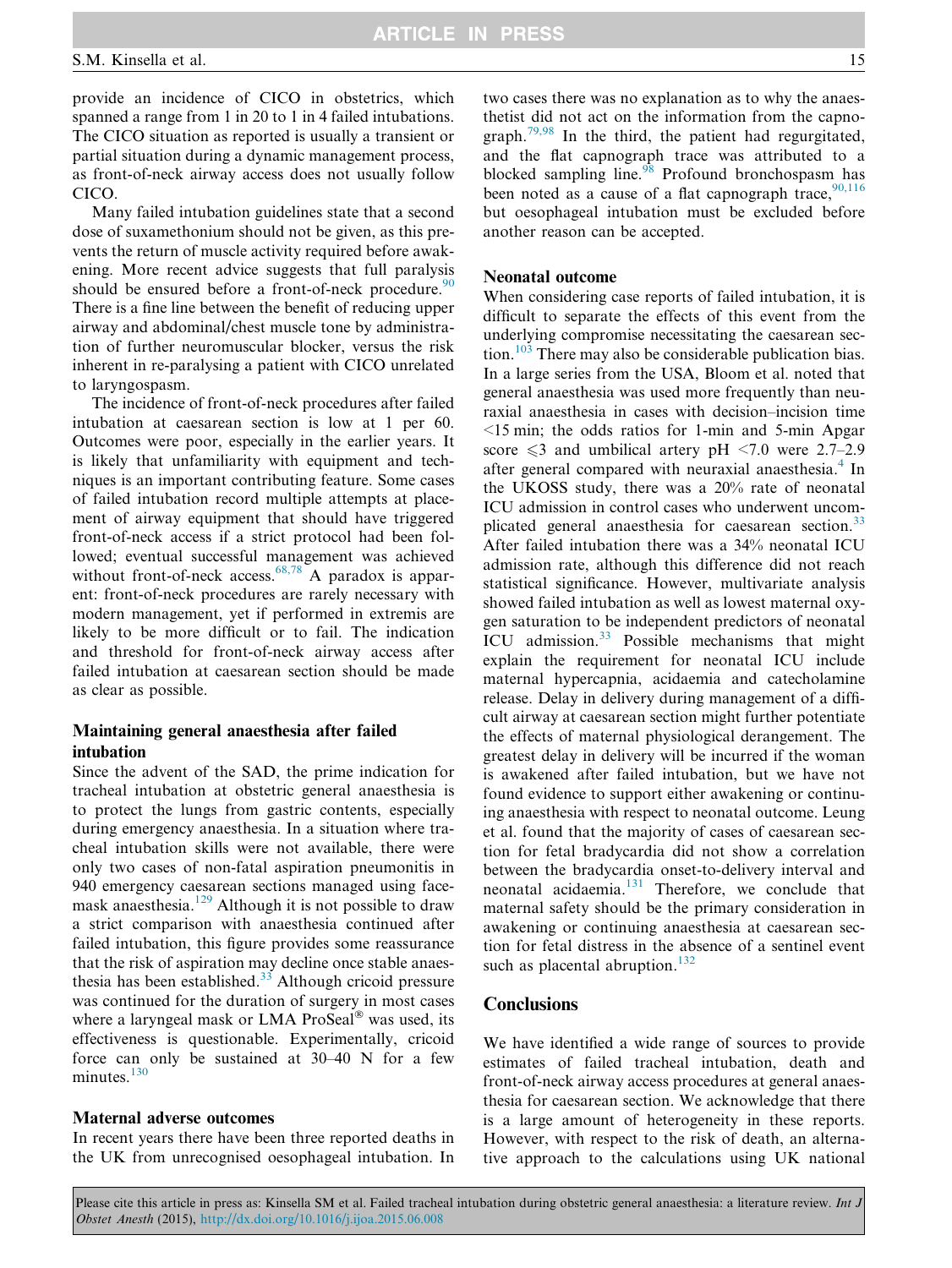provide an incidence of CICO in obstetrics, which spanned a range from 1 in 20 to 1 in 4 failed intubations. The CICO situation as reported is usually a transient or partial situation during a dynamic management process, as front-of-neck airway access does not usually follow CICO.

Many failed intubation guidelines state that a second dose of suxamethonium should not be given, as this prevents the return of muscle activity required before awakening. More recent advice suggests that full paralysis should be ensured before a front-of-neck procedure. $90$ There is a fine line between the benefit of reducing upper airway and abdominal/chest muscle tone by administration of further neuromuscular blocker, versus the risk inherent in re-paralysing a patient with CICO unrelated to laryngospasm.

The incidence of front-of-neck procedures after failed intubation at caesarean section is low at 1 per 60. Outcomes were poor, especially in the earlier years. It is likely that unfamiliarity with equipment and techniques is an important contributing feature. Some cases of failed intubation record multiple attempts at placement of airway equipment that should have triggered front-of-neck access if a strict protocol had been followed; eventual successful management was achieved without front-of-neck access. $68,78$  A paradox is apparent: front-of-neck procedures are rarely necessary with modern management, yet if performed in extremis are likely to be more difficult or to fail. The indication and threshold for front-of-neck airway access after failed intubation at caesarean section should be made as clear as possible.

# Maintaining general anaesthesia after failed intubation

Since the advent of the SAD, the prime indication for tracheal intubation at obstetric general anaesthesia is to protect the lungs from gastric contents, especially during emergency anaesthesia. In a situation where tracheal intubation skills were not available, there were only two cases of non-fatal aspiration pneumonitis in 940 emergency caesarean sections managed using face-mask anaesthesia.<sup>[129](#page-18-0)</sup> Although it is not possible to draw a strict comparison with anaesthesia continued after failed intubation, this figure provides some reassurance that the risk of aspiration may decline once stable anaesthesia has been established. $33$  Although cricoid pressure was continued for the duration of surgery in most cases where a laryngeal mask or LMA ProSeal® was used, its effectiveness is questionable. Experimentally, cricoid force can only be sustained at 30–40 N for a few minutes. $130$ 

#### Maternal adverse outcomes

In recent years there have been three reported deaths in the UK from unrecognised oesophageal intubation. In two cases there was no explanation as to why the anaesthetist did not act on the information from the capnograph. $79,98$  In the third, the patient had regurgitated, and the flat capnograph trace was attributed to a blocked sampling line. $98$  Profound bronchospasm has been noted as a cause of a flat capnograph trace,  $90,116$ but oesophageal intubation must be excluded before another reason can be accepted.

### Neonatal outcome

When considering case reports of failed intubation, it is difficult to separate the effects of this event from the underlying compromise necessitating the caesarean section.[103](#page-17-0) There may also be considerable publication bias. In a large series from the USA, Bloom et al. noted that general anaesthesia was used more frequently than neuraxial anaesthesia in cases with decision–incision time  $\leq$ 15 min; the odds ratios for 1-min and 5-min Apgar score  $\leq 3$  and umbilical artery pH  $\leq 7.0$  were 2.7–2.9 after general compared with neuraxial anaesthesia.<sup>[4](#page-15-0)</sup> In the UKOSS study, there was a 20% rate of neonatal ICU admission in control cases who underwent uncom-plicated general anaesthesia for caesarean section.<sup>[33](#page-16-0)</sup> After failed intubation there was a 34% neonatal ICU admission rate, although this difference did not reach statistical significance. However, multivariate analysis showed failed intubation as well as lowest maternal oxygen saturation to be independent predictors of neonatal ICU admission.<sup>[33](#page-16-0)</sup> Possible mechanisms that might explain the requirement for neonatal ICU include maternal hypercapnia, acidaemia and catecholamine release. Delay in delivery during management of a difficult airway at caesarean section might further potentiate the effects of maternal physiological derangement. The greatest delay in delivery will be incurred if the woman is awakened after failed intubation, but we have not found evidence to support either awakening or continuing anaesthesia with respect to neonatal outcome. Leung et al. found that the majority of cases of caesarean section for fetal bradycardia did not show a correlation between the bradycardia onset-to-delivery interval and neonatal acidaemia.<sup>[131](#page-18-0)</sup> Therefore, we conclude that maternal safety should be the primary consideration in awakening or continuing anaesthesia at caesarean section for fetal distress in the absence of a sentinel event such as placental abruption. $132$ 

### **Conclusions**

We have identified a wide range of sources to provide estimates of failed tracheal intubation, death and front-of-neck airway access procedures at general anaesthesia for caesarean section. We acknowledge that there is a large amount of heterogeneity in these reports. However, with respect to the risk of death, an alternative approach to the calculations using UK national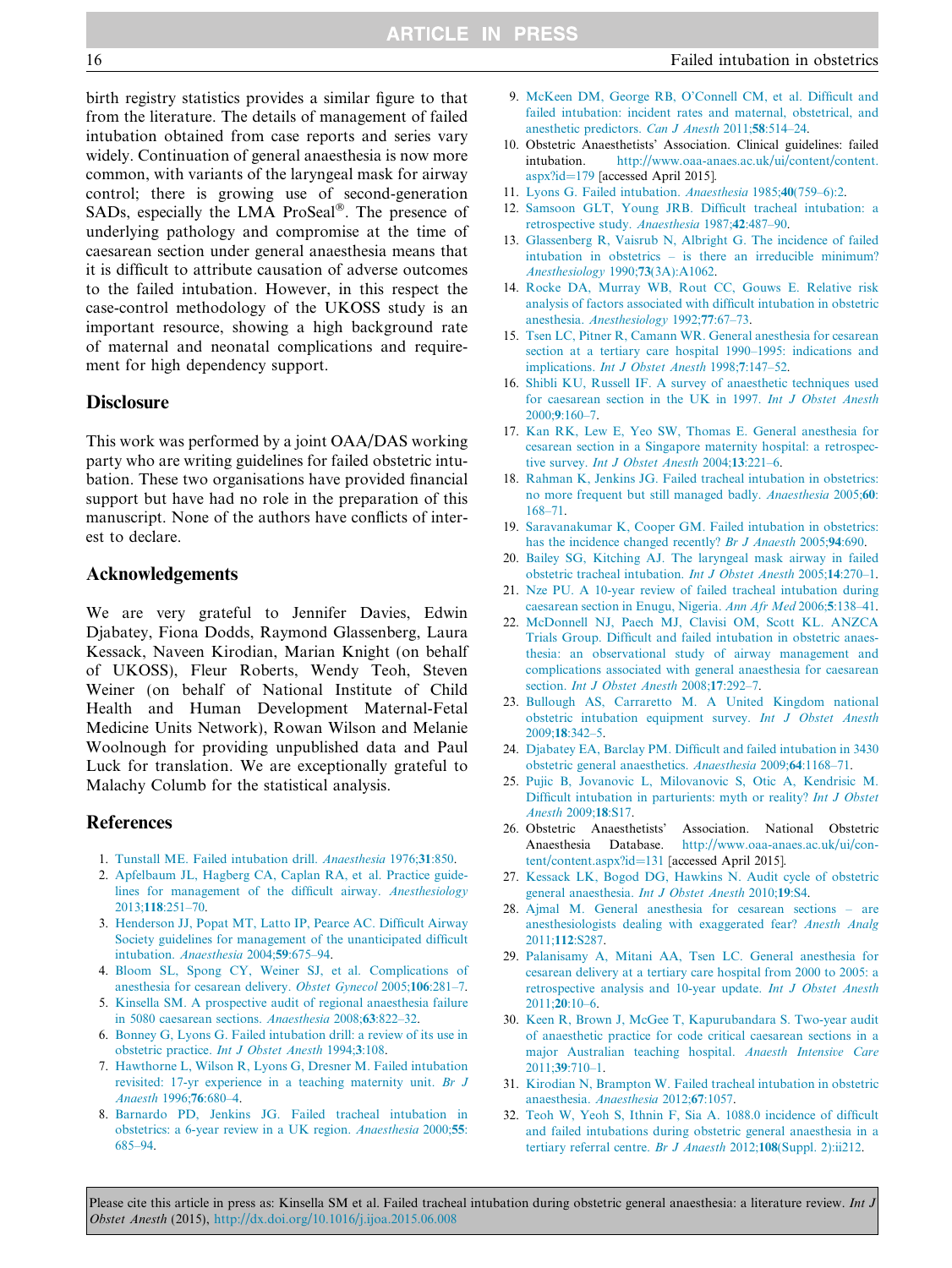<span id="page-15-0"></span>birth registry statistics provides a similar figure to that from the literature. The details of management of failed intubation obtained from case reports and series vary widely. Continuation of general anaesthesia is now more common, with variants of the laryngeal mask for airway control; there is growing use of second-generation SADs, especially the LMA ProSeal®. The presence of underlying pathology and compromise at the time of caesarean section under general anaesthesia means that it is difficult to attribute causation of adverse outcomes to the failed intubation. However, in this respect the case-control methodology of the UKOSS study is an important resource, showing a high background rate of maternal and neonatal complications and requirement for high dependency support.

#### **Disclosure**

This work was performed by a joint OAA/DAS working party who are writing guidelines for failed obstetric intubation. These two organisations have provided financial support but have had no role in the preparation of this manuscript. None of the authors have conflicts of interest to declare.

### Acknowledgements

We are very grateful to Jennifer Davies, Edwin Djabatey, Fiona Dodds, Raymond Glassenberg, Laura Kessack, Naveen Kirodian, Marian Knight (on behalf of UKOSS), Fleur Roberts, Wendy Teoh, Steven Weiner (on behalf of National Institute of Child Health and Human Development Maternal-Fetal Medicine Units Network), Rowan Wilson and Melanie Woolnough for providing unpublished data and Paul Luck for translation. We are exceptionally grateful to Malachy Columb for the statistical analysis.

#### **References**

- 1. [Tunstall ME. Failed intubation drill.](http://refhub.elsevier.com/S0959-289X(15)00091-6/h0005) Anaesthesia 1976;31:850.
- 2. [Apfelbaum JL, Hagberg CA, Caplan RA, et al. Practice guide](http://refhub.elsevier.com/S0959-289X(15)00091-6/h0010)[lines for management of the difficult airway.](http://refhub.elsevier.com/S0959-289X(15)00091-6/h0010) Anesthesiology 2013;118[:251–70](http://refhub.elsevier.com/S0959-289X(15)00091-6/h0010).
- 3. [Henderson JJ, Popat MT, Latto IP, Pearce AC. Difficult Airway](http://refhub.elsevier.com/S0959-289X(15)00091-6/h0015) [Society guidelines for management of the unanticipated difficult](http://refhub.elsevier.com/S0959-289X(15)00091-6/h0015) intubation. [Anaesthesia](http://refhub.elsevier.com/S0959-289X(15)00091-6/h0015) 2004;59:675–94.
- 4. [Bloom SL, Spong CY, Weiner SJ, et al. Complications of](http://refhub.elsevier.com/S0959-289X(15)00091-6/h0020) [anesthesia for cesarean delivery.](http://refhub.elsevier.com/S0959-289X(15)00091-6/h0020) Obstet Gynecol 2005;106:281–7.
- 5. [Kinsella SM. A prospective audit of regional anaesthesia failure](http://refhub.elsevier.com/S0959-289X(15)00091-6/h0025) [in 5080 caesarean sections.](http://refhub.elsevier.com/S0959-289X(15)00091-6/h0025) Anaesthesia 2008;63:822–32.
- 6. [Bonney G, Lyons G. Failed intubation drill: a review of its use in](http://refhub.elsevier.com/S0959-289X(15)00091-6/h0030) obstetric practice. [Int J Obstet Anesth](http://refhub.elsevier.com/S0959-289X(15)00091-6/h0030) 1994;3:108.
- 7. [Hawthorne L, Wilson R, Lyons G, Dresner M. Failed intubation](http://refhub.elsevier.com/S0959-289X(15)00091-6/h0035) [revisited: 17-yr experience in a teaching maternity unit.](http://refhub.elsevier.com/S0959-289X(15)00091-6/h0035) Br J [Anaesth](http://refhub.elsevier.com/S0959-289X(15)00091-6/h0035) 1996;76:680–4.
- 8. [Barnardo PD, Jenkins JG. Failed tracheal intubation in](http://refhub.elsevier.com/S0959-289X(15)00091-6/h0040) [obstetrics: a 6-year review in a UK region.](http://refhub.elsevier.com/S0959-289X(15)00091-6/h0040) Anaesthesia 2000;55: [685–94.](http://refhub.elsevier.com/S0959-289X(15)00091-6/h0040)
- 9. [McKeen DM, George RB, O'Connell CM, et al. Difficult and](http://refhub.elsevier.com/S0959-289X(15)00091-6/h0045) [failed intubation: incident rates and maternal, obstetrical, and](http://refhub.elsevier.com/S0959-289X(15)00091-6/h0045) [anesthetic predictors.](http://refhub.elsevier.com/S0959-289X(15)00091-6/h0045) Can J Anesth 2011;58:514–24.
- 10. Obstetric Anaesthetists' Association. Clinical guidelines: failed intubation. [http://www.oaa-anaes.ac.uk/ui/content/content.](http://www.oaa-anaes.ac.uk/ui/content/content.aspx?id=179) [aspx?id=179](http://www.oaa-anaes.ac.uk/ui/content/content.aspx?id=179) [accessed April 2015].
- 11. [Lyons G. Failed intubation.](http://refhub.elsevier.com/S0959-289X(15)00091-6/h0055) Anaesthesia 1985;40(759–6):2.
- 12. [Samsoon GLT, Young JRB. Difficult tracheal intubation: a](http://refhub.elsevier.com/S0959-289X(15)00091-6/h0060) [retrospective study.](http://refhub.elsevier.com/S0959-289X(15)00091-6/h0060) Anaesthesia 1987;42:487–90.
- 13. [Glassenberg R, Vaisrub N, Albright G. The incidence of failed](http://refhub.elsevier.com/S0959-289X(15)00091-6/h0065) [intubation in obstetrics – is there an irreducible minimum?](http://refhub.elsevier.com/S0959-289X(15)00091-6/h0065) [Anesthesiology](http://refhub.elsevier.com/S0959-289X(15)00091-6/h0065) 1990;73(3A):A1062.
- 14. [Rocke DA, Murray WB, Rout CC, Gouws E. Relative risk](http://refhub.elsevier.com/S0959-289X(15)00091-6/h0070) [analysis of factors associated with difficult intubation in obstetric](http://refhub.elsevier.com/S0959-289X(15)00091-6/h0070) anesthesia. [Anesthesiology](http://refhub.elsevier.com/S0959-289X(15)00091-6/h0070) 1992;77:67–73.
- 15. [Tsen LC, Pitner R, Camann WR. General anesthesia for cesarean](http://refhub.elsevier.com/S0959-289X(15)00091-6/h0075) [section at a tertiary care hospital 1990–1995: indications and](http://refhub.elsevier.com/S0959-289X(15)00091-6/h0075) implications. [Int J Obstet Anesth](http://refhub.elsevier.com/S0959-289X(15)00091-6/h0075) 1998;7:147–52.
- 16. [Shibli KU, Russell IF. A survey of anaesthetic techniques used](http://refhub.elsevier.com/S0959-289X(15)00091-6/h0080) [for caesarean section in the UK in 1997.](http://refhub.elsevier.com/S0959-289X(15)00091-6/h0080) Int J Obstet Anesth 2000;9[:160–7](http://refhub.elsevier.com/S0959-289X(15)00091-6/h0080).
- 17. [Kan RK, Lew E, Yeo SW, Thomas E. General anesthesia for](http://refhub.elsevier.com/S0959-289X(15)00091-6/h0085) [cesarean section in a Singapore maternity hospital: a retrospec](http://refhub.elsevier.com/S0959-289X(15)00091-6/h0085)tive survey. [Int J Obstet Anesth](http://refhub.elsevier.com/S0959-289X(15)00091-6/h0085) 2004;13:221–6.
- 18. [Rahman K, Jenkins JG. Failed tracheal intubation in obstetrics:](http://refhub.elsevier.com/S0959-289X(15)00091-6/h0090) [no more frequent but still managed badly.](http://refhub.elsevier.com/S0959-289X(15)00091-6/h0090) Anaesthesia 2005;60: [168–71.](http://refhub.elsevier.com/S0959-289X(15)00091-6/h0090)
- 19. [Saravanakumar K, Cooper GM. Failed intubation in obstetrics:](http://refhub.elsevier.com/S0959-289X(15)00091-6/h0095) [has the incidence changed recently?](http://refhub.elsevier.com/S0959-289X(15)00091-6/h0095) Br J Anaesth 2005;94:690.
- 20. [Bailey SG, Kitching AJ. The laryngeal mask airway in failed](http://refhub.elsevier.com/S0959-289X(15)00091-6/h0100) [obstetric tracheal intubation.](http://refhub.elsevier.com/S0959-289X(15)00091-6/h0100) Int J Obstet Anesth 2005;14:270–1.
- 21. [Nze PU. A 10-year review of failed tracheal intubation during](http://refhub.elsevier.com/S0959-289X(15)00091-6/h0105) [caesarean section in Enugu, Nigeria.](http://refhub.elsevier.com/S0959-289X(15)00091-6/h0105) Ann Afr Med 2006;5:138–41.
- 22. [McDonnell NJ, Paech MJ, Clavisi OM, Scott KL. ANZCA](http://refhub.elsevier.com/S0959-289X(15)00091-6/h0110) [Trials Group. Difficult and failed intubation in obstetric anaes](http://refhub.elsevier.com/S0959-289X(15)00091-6/h0110)[thesia: an observational study of airway management and](http://refhub.elsevier.com/S0959-289X(15)00091-6/h0110) [complications associated with general anaesthesia for caesarean](http://refhub.elsevier.com/S0959-289X(15)00091-6/h0110) section. *[Int J Obstet Anesth](http://refhub.elsevier.com/S0959-289X(15)00091-6/h0110)* 2008;17:292-7.
- 23. [Bullough AS, Carraretto M. A United Kingdom national](http://refhub.elsevier.com/S0959-289X(15)00091-6/h0115) [obstetric intubation equipment survey.](http://refhub.elsevier.com/S0959-289X(15)00091-6/h0115) Int J Obstet Anesth 2009;18[:342–5](http://refhub.elsevier.com/S0959-289X(15)00091-6/h0115).
- 24. [Djabatey EA, Barclay PM. Difficult and failed intubation in 3430](http://refhub.elsevier.com/S0959-289X(15)00091-6/h0120) [obstetric general anaesthetics.](http://refhub.elsevier.com/S0959-289X(15)00091-6/h0120) Anaesthesia 2009;64:1168–71.
- 25. [Pujic B, Jovanovic L, Milovanovic S, Otic A, Kendrisic M.](http://refhub.elsevier.com/S0959-289X(15)00091-6/h0125) [Difficult intubation in parturients: myth or reality?](http://refhub.elsevier.com/S0959-289X(15)00091-6/h0125) Int J Obstet [Anesth](http://refhub.elsevier.com/S0959-289X(15)00091-6/h0125) 2009;18:S17.
- 26. Obstetric Anaesthetists' Association. National Obstetric Anaesthesia Database. [http://www.oaa-anaes.ac.uk/ui/con](http://www.oaa-anaes.ac.uk/ui/content/content.aspx?id=131)[tent/content.aspx?id=131](http://www.oaa-anaes.ac.uk/ui/content/content.aspx?id=131) [accessed April 2015].
- 27. [Kessack LK, Bogod DG, Hawkins N. Audit cycle of obstetric](http://refhub.elsevier.com/S0959-289X(15)00091-6/h0135) [general anaesthesia.](http://refhub.elsevier.com/S0959-289X(15)00091-6/h0135) Int J Obstet Anesth 2010;19:S4.
- 28. [Ajmal M. General anesthesia for cesarean sections are](http://refhub.elsevier.com/S0959-289X(15)00091-6/h0140) [anesthesiologists dealing with exaggerated fear?](http://refhub.elsevier.com/S0959-289X(15)00091-6/h0140) Anesth Analg 2011;112[:S287.](http://refhub.elsevier.com/S0959-289X(15)00091-6/h0140)
- 29. [Palanisamy A, Mitani AA, Tsen LC. General anesthesia for](http://refhub.elsevier.com/S0959-289X(15)00091-6/h0145) [cesarean delivery at a tertiary care hospital from 2000 to 2005: a](http://refhub.elsevier.com/S0959-289X(15)00091-6/h0145) [retrospective analysis and 10-year update.](http://refhub.elsevier.com/S0959-289X(15)00091-6/h0145) Int J Obstet Anesth [2011;](http://refhub.elsevier.com/S0959-289X(15)00091-6/h0145)20:10–6.
- 30. [Keen R, Brown J, McGee T, Kapurubandara S. Two-year audit](http://refhub.elsevier.com/S0959-289X(15)00091-6/h0150) [of anaesthetic practice for code critical caesarean sections in a](http://refhub.elsevier.com/S0959-289X(15)00091-6/h0150) [major Australian teaching hospital.](http://refhub.elsevier.com/S0959-289X(15)00091-6/h0150) Anaesth Intensive Care 2011;39[:710–1](http://refhub.elsevier.com/S0959-289X(15)00091-6/h0150).
- 31. [Kirodian N, Brampton W. Failed tracheal intubation in obstetric](http://refhub.elsevier.com/S0959-289X(15)00091-6/h0155) [anaesthesia.](http://refhub.elsevier.com/S0959-289X(15)00091-6/h0155) Anaesthesia 2012;67:1057.
- 32. [Teoh W, Yeoh S, Ithnin F, Sia A. 1088.0 incidence of difficult](http://refhub.elsevier.com/S0959-289X(15)00091-6/h0160) [and failed intubations during obstetric general anaesthesia in a](http://refhub.elsevier.com/S0959-289X(15)00091-6/h0160) [tertiary referral centre.](http://refhub.elsevier.com/S0959-289X(15)00091-6/h0160) Br J Anaesth 2012;108(Suppl. 2):ii212.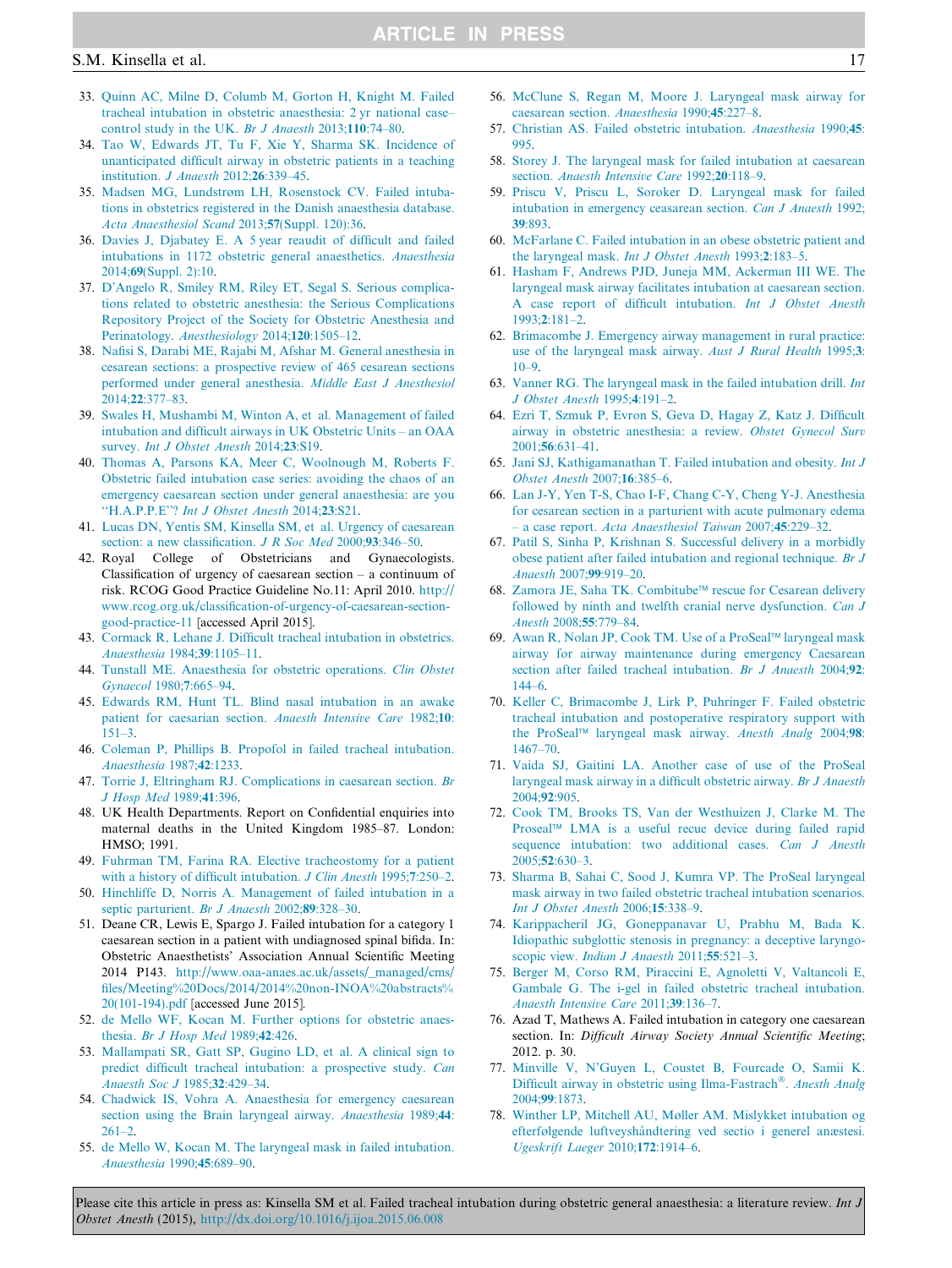#### <span id="page-16-0"></span>S.M. Kinsella et al. 17

- 33. [Quinn AC, Milne D, Columb M, Gorton H, Knight M. Failed](http://refhub.elsevier.com/S0959-289X(15)00091-6/h0165) [tracheal intubation in obstetric anaesthesia: 2 yr national case–](http://refhub.elsevier.com/S0959-289X(15)00091-6/h0165) [control study in the UK.](http://refhub.elsevier.com/S0959-289X(15)00091-6/h0165) Br J Anaesth 2013;110:74–80.
- 34. [Tao W, Edwards JT, Tu F, Xie Y, Sharma SK. Incidence of](http://refhub.elsevier.com/S0959-289X(15)00091-6/h0170) [unanticipated difficult airway in obstetric patients in a teaching](http://refhub.elsevier.com/S0959-289X(15)00091-6/h0170) [institution.](http://refhub.elsevier.com/S0959-289X(15)00091-6/h0170) J Anaesth 2012;26:339–45.
- 35. [Madsen MG, Lundstrøm LH, Rosenstock CV. Failed intuba](http://refhub.elsevier.com/S0959-289X(15)00091-6/h0175)[tions in obstetrics registered in the Danish anaesthesia database.](http://refhub.elsevier.com/S0959-289X(15)00091-6/h0175) [Acta Anaesthesiol Scand](http://refhub.elsevier.com/S0959-289X(15)00091-6/h0175) 2013;57(Suppl. 120):36.
- 36. [Davies J, Djabatey E. A 5 year reaudit of difficult and failed](http://refhub.elsevier.com/S0959-289X(15)00091-6/h0180) [intubations in 1172 obstetric general anaesthetics.](http://refhub.elsevier.com/S0959-289X(15)00091-6/h0180) Anaesthesia 2014;69[\(Suppl. 2\):10.](http://refhub.elsevier.com/S0959-289X(15)00091-6/h0180)
- 37. [D'Angelo R, Smiley RM, Riley ET, Segal S. Serious complica](http://refhub.elsevier.com/S0959-289X(15)00091-6/h0185)[tions related to obstetric anesthesia: the Serious Complications](http://refhub.elsevier.com/S0959-289X(15)00091-6/h0185) [Repository Project of the Society for Obstetric Anesthesia and](http://refhub.elsevier.com/S0959-289X(15)00091-6/h0185) Perinatology. [Anesthesiology](http://refhub.elsevier.com/S0959-289X(15)00091-6/h0185) 2014;120:1505–12.
- 38. [Nafisi S, Darabi ME, Rajabi M, Afshar M. General anesthesia in](http://refhub.elsevier.com/S0959-289X(15)00091-6/h0190) [cesarean sections: a prospective review of 465 cesarean sections](http://refhub.elsevier.com/S0959-289X(15)00091-6/h0190) [performed under general anesthesia.](http://refhub.elsevier.com/S0959-289X(15)00091-6/h0190) Middle East J Anesthesiol 2014;22[:377–83.](http://refhub.elsevier.com/S0959-289X(15)00091-6/h0190)
- 39. [Swales H, Mushambi M, Winton A, et al. Management of failed](http://refhub.elsevier.com/S0959-289X(15)00091-6/h0195) [intubation and difficult airways in UK Obstetric Units – an OAA](http://refhub.elsevier.com/S0959-289X(15)00091-6/h0195) survey. [Int J Obstet Anesth](http://refhub.elsevier.com/S0959-289X(15)00091-6/h0195) 2014;23:S19.
- 40. [Thomas A, Parsons KA, Meer C, Woolnough M, Roberts F.](http://refhub.elsevier.com/S0959-289X(15)00091-6/h0200) [Obstetric failed intubation case series: avoiding the chaos of an](http://refhub.elsevier.com/S0959-289X(15)00091-6/h0200) [emergency caesarean section under general anaesthesia: are you](http://refhub.elsevier.com/S0959-289X(15)00091-6/h0200) ''H.A.P.P.E''? [Int J Obstet Anesth](http://refhub.elsevier.com/S0959-289X(15)00091-6/h0200) 2014;23:S21.
- 41. [Lucas DN, Yentis SM, Kinsella SM, et al. Urgency of caesarean](http://refhub.elsevier.com/S0959-289X(15)00091-6/h0205) [section: a new classification.](http://refhub.elsevier.com/S0959-289X(15)00091-6/h0205) *J R Soc Med* 2000;93:346-50.
- 42. Royal College of Obstetricians and Gynaecologists. Classification of urgency of caesarean section – a continuum of risk. RCOG Good Practice Guideline No.11: April 2010. [http://](http://www.rcog.org.uk/classification-of-urgency-of-caesarean-section-good-practice-11) [www.rcog.org.uk/classification-of-urgency-of-caesarean-section](http://www.rcog.org.uk/classification-of-urgency-of-caesarean-section-good-practice-11)[good-practice-11](http://www.rcog.org.uk/classification-of-urgency-of-caesarean-section-good-practice-11) [accessed April 2015].
- 43. [Cormack R, Lehane J. Difficult tracheal intubation in obstetrics.](http://refhub.elsevier.com/S0959-289X(15)00091-6/h0215) [Anaesthesia](http://refhub.elsevier.com/S0959-289X(15)00091-6/h0215) 1984;39:1105–11.
- 44. [Tunstall ME. Anaesthesia for obstetric operations.](http://refhub.elsevier.com/S0959-289X(15)00091-6/h0220) Clin Obstet [Gynaecol](http://refhub.elsevier.com/S0959-289X(15)00091-6/h0220) 1980;7:665–94.
- 45. [Edwards RM, Hunt TL. Blind nasal intubation in an awake](http://refhub.elsevier.com/S0959-289X(15)00091-6/h0225) [patient for caesarian section.](http://refhub.elsevier.com/S0959-289X(15)00091-6/h0225) Anaesth Intensive Care 1982;10: [151–3.](http://refhub.elsevier.com/S0959-289X(15)00091-6/h0225)
- 46. [Coleman P, Phillips B. Propofol in failed tracheal intubation.](http://refhub.elsevier.com/S0959-289X(15)00091-6/h0230) [Anaesthesia](http://refhub.elsevier.com/S0959-289X(15)00091-6/h0230) 1987;42:1233.
- 47. [Torrie J, Eltringham RJ. Complications in caesarean section.](http://refhub.elsevier.com/S0959-289X(15)00091-6/h0235) Br [J Hosp Med](http://refhub.elsevier.com/S0959-289X(15)00091-6/h0235) 1989;41:396.
- 48. UK Health Departments. Report on Confidential enquiries into maternal deaths in the United Kingdom 1985–87. London: HMSO; 1991.
- 49. [Fuhrman TM, Farina RA. Elective tracheostomy for a patient](http://refhub.elsevier.com/S0959-289X(15)00091-6/h0245) [with a history of difficult intubation.](http://refhub.elsevier.com/S0959-289X(15)00091-6/h0245) J Clin Anesth 1995;7:250-2.
- 50. [Hinchliffe D, Norris A. Management of failed intubation in a](http://refhub.elsevier.com/S0959-289X(15)00091-6/h0250) [septic parturient.](http://refhub.elsevier.com/S0959-289X(15)00091-6/h0250) Br J Anaesth 2002;89:328-30.
- 51. Deane CR, Lewis E, Spargo J. Failed intubation for a category 1 caesarean section in a patient with undiagnosed spinal bifida. In: Obstetric Anaesthetists' Association Annual Scientific Meeting 2014 P143. [http://www.oaa-anaes.ac.uk/assets/\\_managed/cms/](http://www.oaa-anaes.ac.uk/assets/_managed/cms/files/Meeting%20Docs/2014/2014%20non-INOA%20abstracts%20(101-194).pdf) [files/Meeting%20Docs/2014/2014%20non-INOA%20abstracts%](http://www.oaa-anaes.ac.uk/assets/_managed/cms/files/Meeting%20Docs/2014/2014%20non-INOA%20abstracts%20(101-194).pdf) [20\(101-194\).pdf](http://www.oaa-anaes.ac.uk/assets/_managed/cms/files/Meeting%20Docs/2014/2014%20non-INOA%20abstracts%20(101-194).pdf) [accessed June 2015].
- 52. [de Mello WF, Kocan M. Further options for obstetric anaes](http://refhub.elsevier.com/S0959-289X(15)00091-6/h0260)thesia. [Br J Hosp Med](http://refhub.elsevier.com/S0959-289X(15)00091-6/h0260) 1989;42:426.
- 53. [Mallampati SR, Gatt SP, Gugino LD, et al. A clinical sign to](http://refhub.elsevier.com/S0959-289X(15)00091-6/h0265) [predict difficult tracheal intubation: a prospective study.](http://refhub.elsevier.com/S0959-289X(15)00091-6/h0265) Can [Anaesth Soc J](http://refhub.elsevier.com/S0959-289X(15)00091-6/h0265) 1985;32:429–34.
- 54. [Chadwick IS, Vohra A. Anaesthesia for emergency caesarean](http://refhub.elsevier.com/S0959-289X(15)00091-6/h0270) [section using the Brain laryngeal airway.](http://refhub.elsevier.com/S0959-289X(15)00091-6/h0270) Anaesthesia 1989;44: [261–2.](http://refhub.elsevier.com/S0959-289X(15)00091-6/h0270)
- 55. [de Mello W, Kocan M. The laryngeal mask in failed intubation.](http://refhub.elsevier.com/S0959-289X(15)00091-6/h0275) [Anaesthesia](http://refhub.elsevier.com/S0959-289X(15)00091-6/h0275) 1990;45:689–90.
- 56. [McClune S, Regan M, Moore J. Laryngeal mask airway for](http://refhub.elsevier.com/S0959-289X(15)00091-6/h0280) [caesarean section.](http://refhub.elsevier.com/S0959-289X(15)00091-6/h0280) Anaesthesia 1990;45:227–8.
- 57. [Christian AS. Failed obstetric intubation.](http://refhub.elsevier.com/S0959-289X(15)00091-6/h0285) Anaesthesia 1990;45: [995.](http://refhub.elsevier.com/S0959-289X(15)00091-6/h0285)
- 58. [Storey J. The laryngeal mask for failed intubation at caesarean](http://refhub.elsevier.com/S0959-289X(15)00091-6/h0290) section. [Anaesth Intensive Care](http://refhub.elsevier.com/S0959-289X(15)00091-6/h0290) 1992;20:118-9.
- 59. [Priscu V, Priscu L, Soroker D. Laryngeal mask for failed](http://refhub.elsevier.com/S0959-289X(15)00091-6/h0295) [intubation in emergency ceasarean section.](http://refhub.elsevier.com/S0959-289X(15)00091-6/h0295) Can J Anaesth 1992; 39[:893.](http://refhub.elsevier.com/S0959-289X(15)00091-6/h0295)
- 60. [McFarlane C. Failed intubation in an obese obstetric patient and](http://refhub.elsevier.com/S0959-289X(15)00091-6/h0300) the laryngeal mask. [Int J Obstet Anesth](http://refhub.elsevier.com/S0959-289X(15)00091-6/h0300) 1993;2:183–5.
- 61. [Hasham F, Andrews PJD, Juneja MM, Ackerman III WE. The](http://refhub.elsevier.com/S0959-289X(15)00091-6/h0305) [laryngeal mask airway facilitates intubation at caesarean section.](http://refhub.elsevier.com/S0959-289X(15)00091-6/h0305) [A case report of difficult intubation.](http://refhub.elsevier.com/S0959-289X(15)00091-6/h0305) Int J Obstet Anesth 1993;2[:181–2.](http://refhub.elsevier.com/S0959-289X(15)00091-6/h0305)
- 62. [Brimacombe J. Emergency airway management in rural practice:](http://refhub.elsevier.com/S0959-289X(15)00091-6/h0310) [use of the laryngeal mask airway.](http://refhub.elsevier.com/S0959-289X(15)00091-6/h0310) Aust J Rural Health 1995;3: [10–9.](http://refhub.elsevier.com/S0959-289X(15)00091-6/h0310)
- 63. [Vanner RG. The laryngeal mask in the failed intubation drill.](http://refhub.elsevier.com/S0959-289X(15)00091-6/h0315) Int [J Obstet Anesth](http://refhub.elsevier.com/S0959-289X(15)00091-6/h0315) 1995;4:191–2.
- 64. [Ezri T, Szmuk P, Evron S, Geva D, Hagay Z, Katz J. Difficult](http://refhub.elsevier.com/S0959-289X(15)00091-6/h0320) [airway in obstetric anesthesia: a review.](http://refhub.elsevier.com/S0959-289X(15)00091-6/h0320) Obstet Gynecol Surv 2001;56[:631–41.](http://refhub.elsevier.com/S0959-289X(15)00091-6/h0320)
- 65. [Jani SJ, Kathigamanathan T. Failed intubation and obesity.](http://refhub.elsevier.com/S0959-289X(15)00091-6/h0325) Int J [Obstet Anesth](http://refhub.elsevier.com/S0959-289X(15)00091-6/h0325) 2007;16:385–6.
- 66. [Lan J-Y, Yen T-S, Chao I-F, Chang C-Y, Cheng Y-J. Anesthesia](http://refhub.elsevier.com/S0959-289X(15)00091-6/h0330) [for cesarean section in a parturient with acute pulmonary edema](http://refhub.elsevier.com/S0959-289X(15)00091-6/h0330) – a case report. [Acta Anaesthesiol Taiwan](http://refhub.elsevier.com/S0959-289X(15)00091-6/h0330) 2007;45:229–32.
- 67. [Patil S, Sinha P, Krishnan S. Successful delivery in a morbidly](http://refhub.elsevier.com/S0959-289X(15)00091-6/h0335) [obese patient after failed intubation and regional technique.](http://refhub.elsevier.com/S0959-289X(15)00091-6/h0335) Br J [Anaesth](http://refhub.elsevier.com/S0959-289X(15)00091-6/h0335) 2007;99:919–20.
- 68. [Zamora JE, Saha TK. Combitube](http://refhub.elsevier.com/S0959-289X(15)00091-6/h0340)™ rescue for Cesarean delivery [followed by ninth and twelfth cranial nerve dysfunction.](http://refhub.elsevier.com/S0959-289X(15)00091-6/h0340) Can J Anesth 2008;55[:779–84](http://refhub.elsevier.com/S0959-289X(15)00091-6/h0340).
- 69. [Awan R, Nolan JP, Cook TM. Use of a ProSeal](http://refhub.elsevier.com/S0959-289X(15)00091-6/h0345)™ laryngeal mask [airway for airway maintenance during emergency Caesarean](http://refhub.elsevier.com/S0959-289X(15)00091-6/h0345) [section after failed tracheal intubation.](http://refhub.elsevier.com/S0959-289X(15)00091-6/h0345) Br J Anaesth 2004;92: [144–6](http://refhub.elsevier.com/S0959-289X(15)00091-6/h0345).
- 70. [Keller C, Brimacombe J, Lirk P, Puhringer F. Failed obstetric](http://refhub.elsevier.com/S0959-289X(15)00091-6/h0350) [tracheal intubation and postoperative respiratory support with](http://refhub.elsevier.com/S0959-289X(15)00091-6/h0350) the ProSeal™ [laryngeal mask airway.](http://refhub.elsevier.com/S0959-289X(15)00091-6/h0350) Anesth Analg 2004;98: [1467–70](http://refhub.elsevier.com/S0959-289X(15)00091-6/h0350).
- 71. [Vaida SJ, Gaitini LA. Another case of use of the ProSeal](http://refhub.elsevier.com/S0959-289X(15)00091-6/h0355) [laryngeal mask airway in a difficult obstetric airway.](http://refhub.elsevier.com/S0959-289X(15)00091-6/h0355) Br J Anaesth [2004;](http://refhub.elsevier.com/S0959-289X(15)00091-6/h0355)92:905.
- 72. [Cook TM, Brooks TS, Van der Westhuizen J, Clarke M. The](http://refhub.elsevier.com/S0959-289X(15)00091-6/h0360) Proseal™ [LMA is a useful recue device during failed rapid](http://refhub.elsevier.com/S0959-289X(15)00091-6/h0360) [sequence intubation: two additional cases.](http://refhub.elsevier.com/S0959-289X(15)00091-6/h0360) Can J Anesth 2005;52[:630–3.](http://refhub.elsevier.com/S0959-289X(15)00091-6/h0360)
- 73. [Sharma B, Sahai C, Sood J, Kumra VP. The ProSeal laryngeal](http://refhub.elsevier.com/S0959-289X(15)00091-6/h0365) [mask airway in two failed obstetric tracheal intubation scenarios.](http://refhub.elsevier.com/S0959-289X(15)00091-6/h0365) [Int J Obstet Anesth](http://refhub.elsevier.com/S0959-289X(15)00091-6/h0365) 2006;15:338–9.
- 74. [Karippacheril JG, Goneppanavar U, Prabhu M, Bada K.](http://refhub.elsevier.com/S0959-289X(15)00091-6/h0370) [Idiopathic subglottic stenosis in pregnancy: a deceptive laryngo-](http://refhub.elsevier.com/S0959-289X(15)00091-6/h0370)scopic view. [Indian J Anaesth](http://refhub.elsevier.com/S0959-289X(15)00091-6/h0370) 2011;55:521-3.
- 75. [Berger M, Corso RM, Piraccini E, Agnoletti V, Valtancoli E,](http://refhub.elsevier.com/S0959-289X(15)00091-6/h0375) [Gambale G. The i-gel in failed obstetric tracheal intubation.](http://refhub.elsevier.com/S0959-289X(15)00091-6/h0375) [Anaesth Intensive Care](http://refhub.elsevier.com/S0959-289X(15)00091-6/h0375) 2011;39:136-7.
- 76. Azad T, Mathews A. Failed intubation in category one caesarean section. In: Difficult Airway Society Annual Scientific Meeting; 2012. p. 30.
- 77. [Minville V, N'Guyen L, Coustet B, Fourcade O, Samii K.](http://refhub.elsevier.com/S0959-289X(15)00091-6/h0385) [Difficult](http://refhub.elsevier.com/S0959-289X(15)00091-6/h0385) [airway](http://refhub.elsevier.com/S0959-289X(15)00091-6/h0385) [in](http://refhub.elsevier.com/S0959-289X(15)00091-6/h0385) [obstetric](http://refhub.elsevier.com/S0959-289X(15)00091-6/h0385) [using](http://refhub.elsevier.com/S0959-289X(15)00091-6/h0385) [Ilma-Fastrach](http://refhub.elsevier.com/S0959-289X(15)00091-6/h0385)®. [Anesth Analg](http://refhub.elsevier.com/S0959-289X(15)00091-6/h0385) 2004;99[:1873.](http://refhub.elsevier.com/S0959-289X(15)00091-6/h0385)
- 78. [Winther LP, Mitchell AU, Møller AM. Mislykket intubation og](http://refhub.elsevier.com/S0959-289X(15)00091-6/h0390) efterfølgende luftveyshåndtering ved sectio i generel anæstesi. [Ugeskrift Laeger](http://refhub.elsevier.com/S0959-289X(15)00091-6/h0390) 2010;172:1914–6.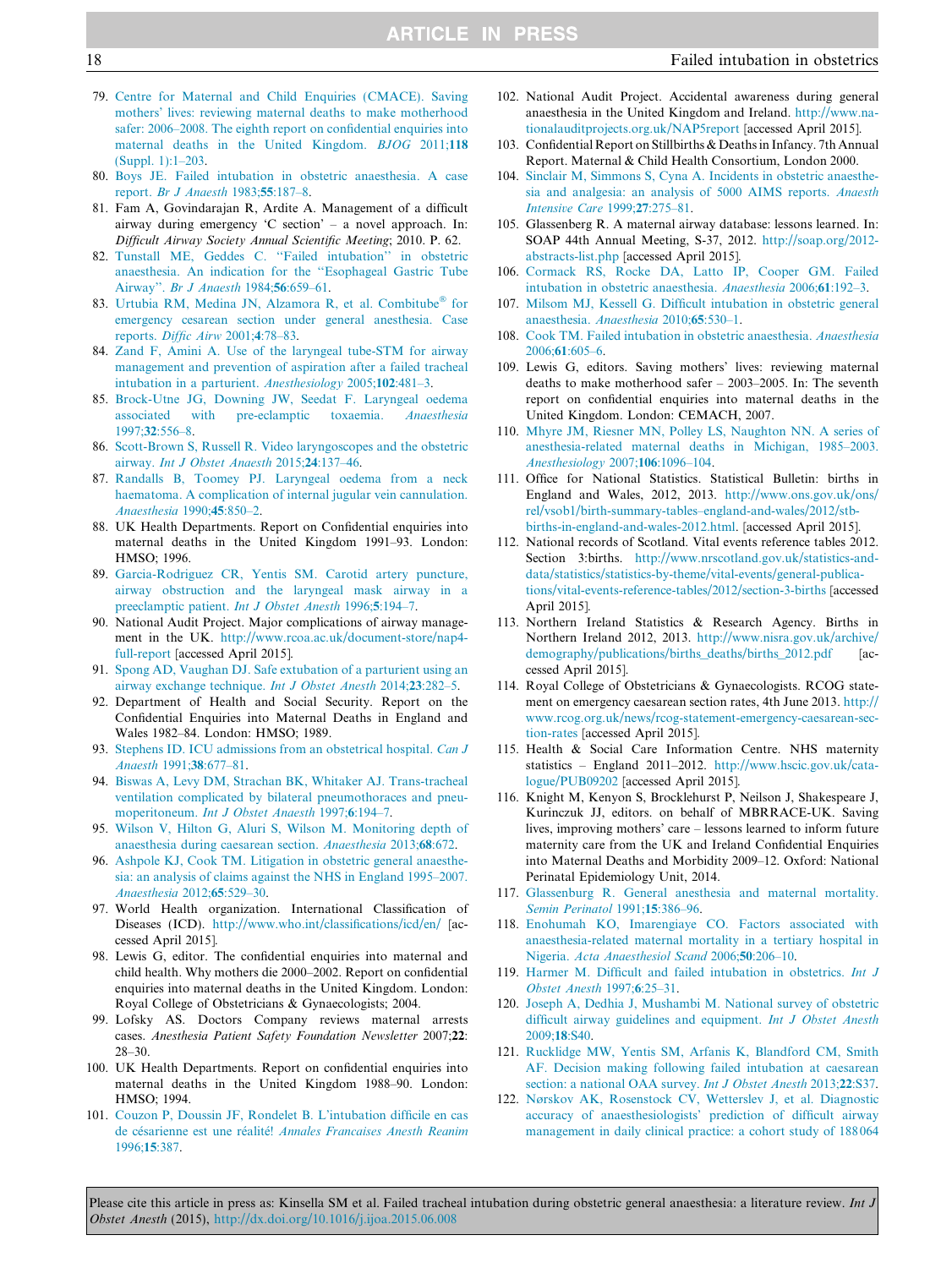- <span id="page-17-0"></span>79. [Centre for Maternal and Child Enquiries \(CMACE\). Saving](http://refhub.elsevier.com/S0959-289X(15)00091-6/h0395) [mothers' lives: reviewing maternal deaths to make motherhood](http://refhub.elsevier.com/S0959-289X(15)00091-6/h0395) [safer: 2006–2008. The eighth report on confidential enquiries into](http://refhub.elsevier.com/S0959-289X(15)00091-6/h0395) [maternal deaths in the United Kingdom.](http://refhub.elsevier.com/S0959-289X(15)00091-6/h0395) BJOG 2011;118 [\(Suppl. 1\):1–203.](http://refhub.elsevier.com/S0959-289X(15)00091-6/h0395)
- 80. [Boys JE. Failed intubation in obstetric anaesthesia. A case](http://refhub.elsevier.com/S0959-289X(15)00091-6/h0400) report. [Br J Anaesth](http://refhub.elsevier.com/S0959-289X(15)00091-6/h0400) 1983;55:187–8.
- 81. Fam A, Govindarajan R, Ardite A. Management of a difficult airway during emergency 'C section' – a novel approach. In: Difficult Airway Society Annual Scientific Meeting; 2010. P. 62.
- 82. [Tunstall ME, Geddes C. ''Failed intubation'' in obstetric](http://refhub.elsevier.com/S0959-289X(15)00091-6/h0410) [anaesthesia. An indication for the ''Esophageal Gastric Tube](http://refhub.elsevier.com/S0959-289X(15)00091-6/h0410) Airway''. [Br J Anaesth](http://refhub.elsevier.com/S0959-289X(15)00091-6/h0410) 1984;56:659–61.
- 83. [Urtubia](http://refhub.elsevier.com/S0959-289X(15)00091-6/h0415) [RM,](http://refhub.elsevier.com/S0959-289X(15)00091-6/h0415) [Medina](http://refhub.elsevier.com/S0959-289X(15)00091-6/h0415) [JN,](http://refhub.elsevier.com/S0959-289X(15)00091-6/h0415) [Alzamora](http://refhub.elsevier.com/S0959-289X(15)00091-6/h0415) [R,](http://refhub.elsevier.com/S0959-289X(15)00091-6/h0415) [et](http://refhub.elsevier.com/S0959-289X(15)00091-6/h0415) [al.](http://refhub.elsevier.com/S0959-289X(15)00091-6/h0415) [Combitube](http://refhub.elsevier.com/S0959-289X(15)00091-6/h0415)® [for](http://refhub.elsevier.com/S0959-289X(15)00091-6/h0415) [emergency cesarean section under general anesthesia. Case](http://refhub.elsevier.com/S0959-289X(15)00091-6/h0415) reports. [Diffic Airw](http://refhub.elsevier.com/S0959-289X(15)00091-6/h0415) 2001;4:78–83.
- 84. [Zand F, Amini A. Use of the laryngeal tube-STM for airway](http://refhub.elsevier.com/S0959-289X(15)00091-6/h0420) [management and prevention of aspiration after a failed tracheal](http://refhub.elsevier.com/S0959-289X(15)00091-6/h0420) [intubation in a parturient.](http://refhub.elsevier.com/S0959-289X(15)00091-6/h0420) Anesthesiology 2005;102:481–3.
- 85. [Brock-Utne JG, Downing JW, Seedat F. Laryngeal oedema](http://refhub.elsevier.com/S0959-289X(15)00091-6/h0425) [associated with pre-eclamptic toxaemia.](http://refhub.elsevier.com/S0959-289X(15)00091-6/h0425) Anaesthesia 1997;32[:556–8](http://refhub.elsevier.com/S0959-289X(15)00091-6/h0425).
- 86. [Scott-Brown S, Russell R. Video laryngoscopes and the obstetric](http://refhub.elsevier.com/S0959-289X(15)00091-6/h0430) airway. [Int J Obstet Anaesth](http://refhub.elsevier.com/S0959-289X(15)00091-6/h0430) 2015;24:137–46.
- 87. [Randalls B, Toomey PJ. Laryngeal oedema from a neck](http://refhub.elsevier.com/S0959-289X(15)00091-6/h0435) [haematoma. A complication of internal jugular vein cannulation.](http://refhub.elsevier.com/S0959-289X(15)00091-6/h0435) [Anaesthesia](http://refhub.elsevier.com/S0959-289X(15)00091-6/h0435) 1990;45:850–2.
- 88. UK Health Departments. Report on Confidential enquiries into maternal deaths in the United Kingdom 1991–93. London: HMSO; 1996.
- 89. [Garcia-Rodriguez CR, Yentis SM. Carotid artery puncture,](http://refhub.elsevier.com/S0959-289X(15)00091-6/h0445) [airway obstruction and the laryngeal mask airway in a](http://refhub.elsevier.com/S0959-289X(15)00091-6/h0445) [preeclamptic patient.](http://refhub.elsevier.com/S0959-289X(15)00091-6/h0445) Int J Obstet Anesth 1996;5:194–7.
- 90. National Audit Project. Major complications of airway management in the UK. [http://www.rcoa.ac.uk/document-store/nap4](http://www.rcoa.ac.uk/document-store/nap4-full-report) [full-report](http://www.rcoa.ac.uk/document-store/nap4-full-report) [accessed April 2015].
- 91. [Spong AD, Vaughan DJ. Safe extubation of a parturient using an](http://refhub.elsevier.com/S0959-289X(15)00091-6/h0455) [airway exchange technique.](http://refhub.elsevier.com/S0959-289X(15)00091-6/h0455) Int J Obstet Anesth 2014;23:282–5.
- 92. Department of Health and Social Security. Report on the Confidential Enquiries into Maternal Deaths in England and Wales 1982–84. London: HMSO; 1989.
- 93. [Stephens ID. ICU admissions from an obstetrical hospital.](http://refhub.elsevier.com/S0959-289X(15)00091-6/h0465) Can J [Anaesth](http://refhub.elsevier.com/S0959-289X(15)00091-6/h0465) 1991;38:677–81.
- 94. [Biswas A, Levy DM, Strachan BK, Whitaker AJ. Trans-tracheal](http://refhub.elsevier.com/S0959-289X(15)00091-6/h0470) [ventilation complicated by bilateral pneumothoraces and pneu](http://refhub.elsevier.com/S0959-289X(15)00091-6/h0470)moperitoneum. *[Int J Obstet Anaesth](http://refhub.elsevier.com/S0959-289X(15)00091-6/h0470)* 1997;6:194–7.
- 95. [Wilson V, Hilton G, Aluri S, Wilson M. Monitoring depth of](http://refhub.elsevier.com/S0959-289X(15)00091-6/h0475) [anaesthesia during caesarean section.](http://refhub.elsevier.com/S0959-289X(15)00091-6/h0475) Anaesthesia 2013;68:672.
- 96. [Ashpole KJ, Cook TM. Litigation in obstetric general anaesthe](http://refhub.elsevier.com/S0959-289X(15)00091-6/h0480)[sia: an analysis of claims against the NHS in England 1995–2007.](http://refhub.elsevier.com/S0959-289X(15)00091-6/h0480) [Anaesthesia](http://refhub.elsevier.com/S0959-289X(15)00091-6/h0480) 2012;65:529–30.
- 97. World Health organization. International Classification of Diseases (ICD). <http://www.who.int/classifications/icd/en/> [accessed April 2015].
- 98. Lewis G, editor. The confidential enquiries into maternal and child health. Why mothers die 2000–2002. Report on confidential enquiries into maternal deaths in the United Kingdom. London: Royal College of Obstetricians & Gynaecologists; 2004.
- 99. Lofsky AS. Doctors Company reviews maternal arrests cases. Anesthesia Patient Safety Foundation Newsletter 2007;22: 28–30.
- 100. UK Health Departments. Report on confidential enquiries into maternal deaths in the United Kingdom 1988–90. London: HMSO; 1994.
- 101. [Couzon P, Doussin JF, Rondelet B. L'intubation difficile en cas](http://refhub.elsevier.com/S0959-289X(15)00091-6/h0505) de césarienne est une réalité! [Annales Francaises Anesth Reanim](http://refhub.elsevier.com/S0959-289X(15)00091-6/h0505) [1996;](http://refhub.elsevier.com/S0959-289X(15)00091-6/h0505)15:387.
- 102. National Audit Project. Accidental awareness during general anaesthesia in the United Kingdom and Ireland. [http://www.na](http://www.nationalauditprojects.org.uk/NAP5report)[tionalauditprojects.org.uk/NAP5report](http://www.nationalauditprojects.org.uk/NAP5report) [accessed April 2015].
- 103. Confidential Report on Stillbirths & Deaths in Infancy. 7th Annual Report. Maternal & Child Health Consortium, London 2000.
- 104. [Sinclair M, Simmons S, Cyna A. Incidents in obstetric anaesthe](http://refhub.elsevier.com/S0959-289X(15)00091-6/h0520)[sia and analgesia: an analysis of 5000 AIMS reports.](http://refhub.elsevier.com/S0959-289X(15)00091-6/h0520) Anaesth [Intensive Care](http://refhub.elsevier.com/S0959-289X(15)00091-6/h0520) 1999;27:275–81.
- 105. Glassenberg R. A maternal airway database: lessons learned. In: SOAP 44th Annual Meeting, S-37, 2012. [http://soap.org/2012](http://soap.org/2012-abstracts-list.php) [abstracts-list.php](http://soap.org/2012-abstracts-list.php) [accessed April 2015].
- 106. [Cormack RS, Rocke DA, Latto IP, Cooper GM. Failed](http://refhub.elsevier.com/S0959-289X(15)00091-6/h0530) [intubation in obstetric anaesthesia.](http://refhub.elsevier.com/S0959-289X(15)00091-6/h0530) Anaesthesia 2006;61:192–3.
- 107. [Milsom MJ, Kessell G. Difficult intubation in obstetric general](http://refhub.elsevier.com/S0959-289X(15)00091-6/h0535) [anaesthesia.](http://refhub.elsevier.com/S0959-289X(15)00091-6/h0535) Anaesthesia 2010;65:530–1.
- 108. [Cook TM. Failed intubation in obstetric anaesthesia.](http://refhub.elsevier.com/S0959-289X(15)00091-6/h0540) Anaesthesia 2006;61[:605–6](http://refhub.elsevier.com/S0959-289X(15)00091-6/h0540).
- 109. Lewis G, editors. Saving mothers' lives: reviewing maternal deaths to make motherhood safer – 2003–2005. In: The seventh report on confidential enquiries into maternal deaths in the United Kingdom. London: CEMACH, 2007.
- 110. [Mhyre JM, Riesner MN, Polley LS, Naughton NN. A series of](http://refhub.elsevier.com/S0959-289X(15)00091-6/h0550) [anesthesia-related maternal deaths in Michigan, 1985–2003.](http://refhub.elsevier.com/S0959-289X(15)00091-6/h0550) [Anesthesiology](http://refhub.elsevier.com/S0959-289X(15)00091-6/h0550) 2007;106:1096–104.
- 111. Office for National Statistics. Statistical Bulletin: births in England and Wales, 2012, 2013. [http://www.ons.gov.uk/ons/](http://www.ons.gov.uk/ons/rel/vsob1/birth-summary-tables--england-and-wales/2012/stb-births-in-england-and-wales-2012.html) [rel/vsob1/birth-summary-tables–england-and-wales/2012/stb](http://www.ons.gov.uk/ons/rel/vsob1/birth-summary-tables--england-and-wales/2012/stb-births-in-england-and-wales-2012.html)[births-in-england-and-wales-2012.html](http://www.ons.gov.uk/ons/rel/vsob1/birth-summary-tables--england-and-wales/2012/stb-births-in-england-and-wales-2012.html). [accessed April 2015].
- 112. National records of Scotland. Vital events reference tables 2012. Section 3:births. [http://www.nrscotland.gov.uk/statistics-and](http://www.nrscotland.gov.uk/statistics-and-data/statistics/statistics-by-theme/vital-events/general-publications/vital-events-reference-tables/2012/section-3-births)[data/statistics/statistics-by-theme/vital-events/general-publica](http://www.nrscotland.gov.uk/statistics-and-data/statistics/statistics-by-theme/vital-events/general-publications/vital-events-reference-tables/2012/section-3-births)[tions/vital-events-reference-tables/2012/section-3-births](http://www.nrscotland.gov.uk/statistics-and-data/statistics/statistics-by-theme/vital-events/general-publications/vital-events-reference-tables/2012/section-3-births) [accessed April 2015].
- 113. Northern Ireland Statistics & Research Agency. Births in Northern Ireland 2012, 2013. [http://www.nisra.gov.uk/archive/](http://www.nisra.gov.uk/archive/demography/publications/births_deaths/births_2012.pdf) [demography/publications/births\\_deaths/births\\_2012.pdf](http://www.nisra.gov.uk/archive/demography/publications/births_deaths/births_2012.pdf) cessed April 2015].
- 114. Royal College of Obstetricians & Gynaecologists. RCOG statement on emergency caesarean section rates, 4th June 2013. [http://](http://www.rcog.org.uk/news/rcog-statement-emergency-caesarean-section-rates) [www.rcog.org.uk/news/rcog-statement-emergency-caesarean-sec](http://www.rcog.org.uk/news/rcog-statement-emergency-caesarean-section-rates)[tion-rates](http://www.rcog.org.uk/news/rcog-statement-emergency-caesarean-section-rates) [accessed April 2015].
- 115. Health & Social Care Information Centre. NHS maternity statistics – England 2011–2012. [http://www.hscic.gov.uk/cata](http://www.hscic.gov.uk/catalogue/PUB09202)[logue/PUB09202](http://www.hscic.gov.uk/catalogue/PUB09202) [accessed April 2015].
- 116. Knight M, Kenyon S, Brocklehurst P, Neilson J, Shakespeare J, Kurinczuk JJ, editors. on behalf of MBRRACE-UK. Saving lives, improving mothers' care – lessons learned to inform future maternity care from the UK and Ireland Confidential Enquiries into Maternal Deaths and Morbidity 2009–12. Oxford: National Perinatal Epidemiology Unit, 2014.
- 117. [Glassenburg R. General anesthesia and maternal mortality.](http://refhub.elsevier.com/S0959-289X(15)00091-6/h0585) [Semin Perinatol](http://refhub.elsevier.com/S0959-289X(15)00091-6/h0585) 1991;15:386–96.
- 118. [Enohumah KO, Imarengiaye CO. Factors associated with](http://refhub.elsevier.com/S0959-289X(15)00091-6/h0590) [anaesthesia-related maternal mortality in a tertiary hospital in](http://refhub.elsevier.com/S0959-289X(15)00091-6/h0590) Nigeria. [Acta Anaesthesiol Scand](http://refhub.elsevier.com/S0959-289X(15)00091-6/h0590) 2006;50:206–10.
- 119. [Harmer M. Difficult and failed intubation in obstetrics.](http://refhub.elsevier.com/S0959-289X(15)00091-6/h0595) Int J [Obstet Anesth](http://refhub.elsevier.com/S0959-289X(15)00091-6/h0595) 1997;6:25–31.
- 120. [Joseph A, Dedhia J, Mushambi M. National survey of obstetric](http://refhub.elsevier.com/S0959-289X(15)00091-6/h0600) [difficult airway guidelines and equipment.](http://refhub.elsevier.com/S0959-289X(15)00091-6/h0600) Int J Obstet Anesth [2009;](http://refhub.elsevier.com/S0959-289X(15)00091-6/h0600)18:S40.
- 121. [Rucklidge MW, Yentis SM, Arfanis K, Blandford CM, Smith](http://refhub.elsevier.com/S0959-289X(15)00091-6/h0605) [AF. Decision making following failed intubation at caesarean](http://refhub.elsevier.com/S0959-289X(15)00091-6/h0605) [section: a national OAA survey.](http://refhub.elsevier.com/S0959-289X(15)00091-6/h0605) Int J Obstet Anesth 2013;22:S37.
- 122. [Nørskov AK, Rosenstock CV, Wetterslev J, et al. Diagnostic](http://refhub.elsevier.com/S0959-289X(15)00091-6/h0610) [accuracy of anaesthesiologists' prediction of difficult airway](http://refhub.elsevier.com/S0959-289X(15)00091-6/h0610) [management in daily clinical practice: a cohort study of 188 064](http://refhub.elsevier.com/S0959-289X(15)00091-6/h0610)